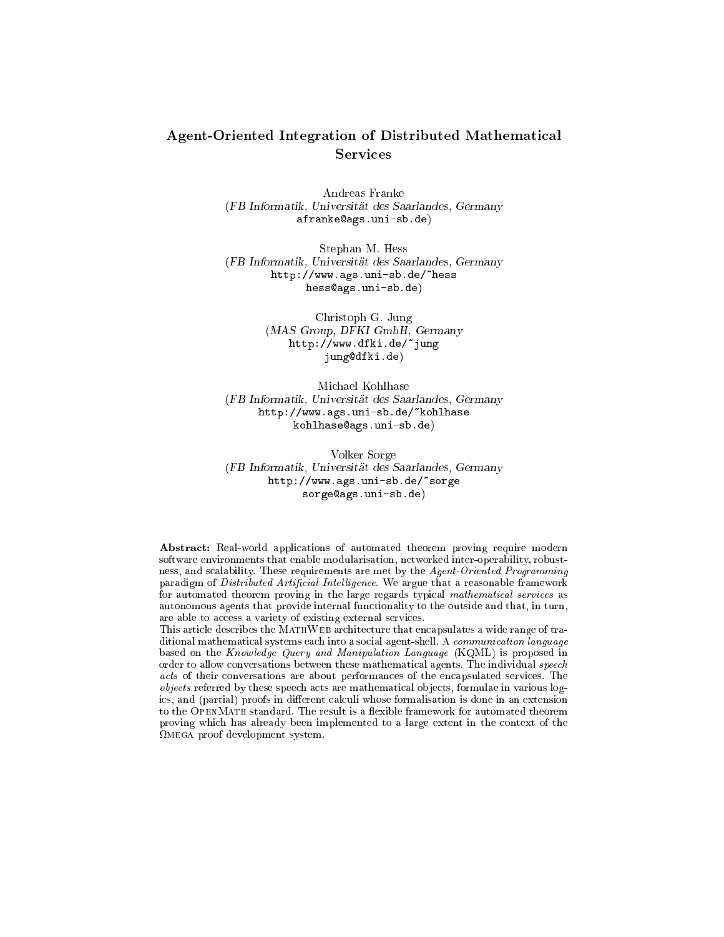# Agent-Oriented Integration of Distributed Mathemati
al **Services**

Andreas Franke (FB Informatik, Universitat des Saarlandes, Germany afrankeags.uni-sb.de)

Stephan M. Hess (FB Informatik, Universitat des Saarlandes, Germany http://www.ags.uni-sb.de/~hess hess@ags.uni-sb.de)

> Christoph G. Jung (MAS Group, DFKI GmbH, Germany http://www.dfki.de/~jung jungdfki.de)

Mi
hael Kohlhase (FB Informatik, Universitat des Saarlandes, Germany http://www.ags.uni-sb.de/~kohlhase kohlhaseags.uni-sb.de)

Volker Sorge (FB Informatik, Universitat des Saarlandes, Germany http://www.ags.uni-sb.de/~sorge sorge@ags.uni-sb.de)

Abstract: Real-world applications of automated theorem proving require modern software environments that enable modularisation, networked inter-operability, robustness, and s
alability. These requirements are met by the Agent-Oriented Programming paradigm of Distributed Artificial Intelligence. We argue that a reasonable framework for automated theorem proving in the large regards typical mathematical services as autonomous agents that provide internal functionality to the outside and that, in turn, are able to access a variety of existing external services.

This article describes the MATHWEB architecture that encapsulates a wide range of traditional mathematical systems each into a social agent-shell. A communication language based on the Knowledge Query and Manipulation Language (KQML) is proposed in order to allow conversations between these mathematical agents. The individual speech acts of their conversations are about performances of the encapsulated services. The objects referred by these speech acts are mathematical objects, formulae in various logics, and (partial) proofs in different calculi whose formalisation is done in an extension to the OPENMATH standard. The result is a flexible framework for automated theorem proving whi
h has already been implemented to a large extent in the ontext of the mega proof development system.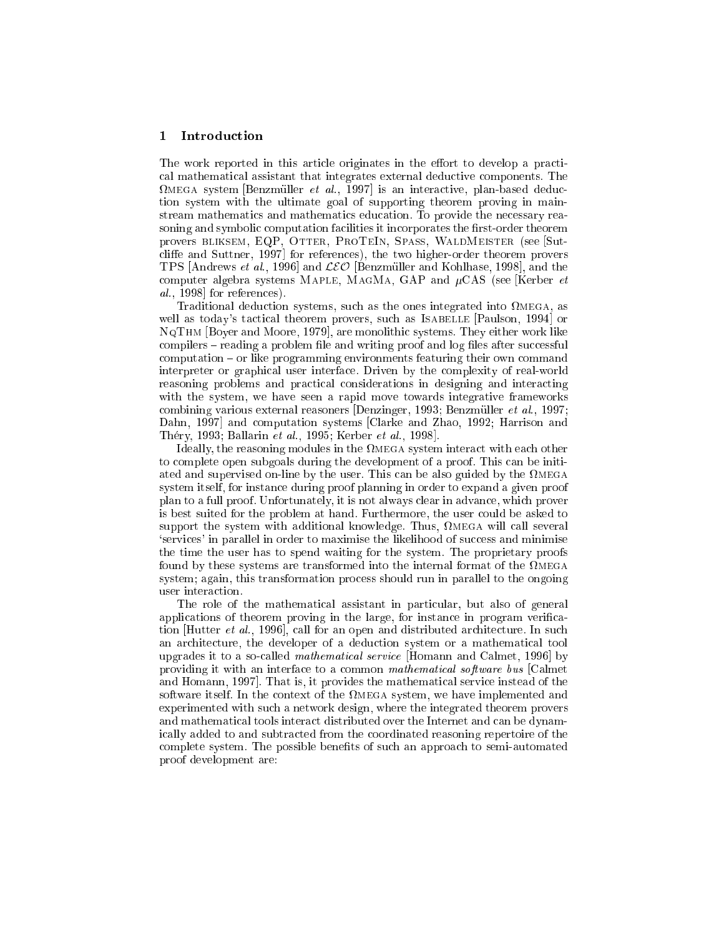## 1 Introdu
tion

The work reported in this article originates in the effort to develop a practial mathemati
al assistant that integrates external dedu
tive omponents. The while on system pointment of wall foot is an interacted plan-based deduc tion system with the ultimate goal of supporting theorem proving in mainstream mathematics and mathematics education. To provide the necessary reasoning and symbolic computation facilities it incorporates the first-order theorem provers BLIKSEM, EQP, OTTER, PROTEIN, SPASS, WALDMEISTER (see [Sutcliffe and Suttner, 1997 for references), the two higher-order theorem provers TPS **[Andrews et al., 1999]** and LCO [Benzmuller and Kommass], and the the computer algebra systems MAPLE, MAGMA, GAP and  $\mu$ CAS (see [Kerber *et*  $al., 1998$  for references).

Traditional dedu
tion systems, su
h as the ones integrated into mega, as well as today's tactical theorem provers, such as ISABELLE [Paulson, 1994] or  $\mathbf{y}$  ,  $\mathbf{y}$  is much also they expected to the monolity of  $\mathbf{y}$  security. They either work like compilers – reading a problem file and writing proof and log files after successful  $computation - or like programming environments featureing their own command$ interpreter or graphi
al user interfa
e. Driven by the omplexity of real-world reasoning problems and practical considerations in designing and interacting with the system, we have seen a rapid move towards integrative frameworks ombining various external reasoners [Denzinger, 1993; Benzmuller et al., 1997; Dahn, 1997 and computation systems [Clarke and Zhao, 1992; Harrison and Théry, 1993; Ballarin et al., 1995; Kerber et al., 1998].

Ideally, the reasoning modules in the mega system intera
t with ea
h other to omplete open subgoals during the development of a proof. This an be initiated and supervised on-line by the user. This an be also guided by the megasystem itself, for instan
e during proof planning in order to expand a given proof plan to a full proof. Unfortunately, it is not always lear in advan
e, whi
h prover is best suited for the problem at hand. Furthermore, the user ould be asked to support the system with additional knowledge. Thus, mega will all several 'services' in parallel in order to maximise the likelihood of success and minimise the time the user has to spend waiting for the system. The proprietary proofs found by these systems are transformed into the internal format of the megasystem; again, this transformation pro
ess should run in parallel to the ongoing user interaction.

The role of the mathematical assistant in particular, but also of general applications of theorem proving in the large, for instance in program verification Hutter et al., 1996, call for an open and distributed architecture. In such an architecture, the developer of a deduction system or a mathematical tool upgrades it to a so-called *mathematical service* [Homann and Calmet, 1996] by providing it with an interface to a common mathematical software bus [Calmet and Homann, 1997]. That is, it provides the mathematical service instead of the software itself. In the ontext of the mega system, we have implemented and experimented with such a network design, where the integrated theorem provers and mathematical tools interact distributed over the Internet and can be dynami
ally added to and subtra
ted from the oordinated reasoning repertoire of the complete system. The possible benefits of such an approach to semi-automated proof development are: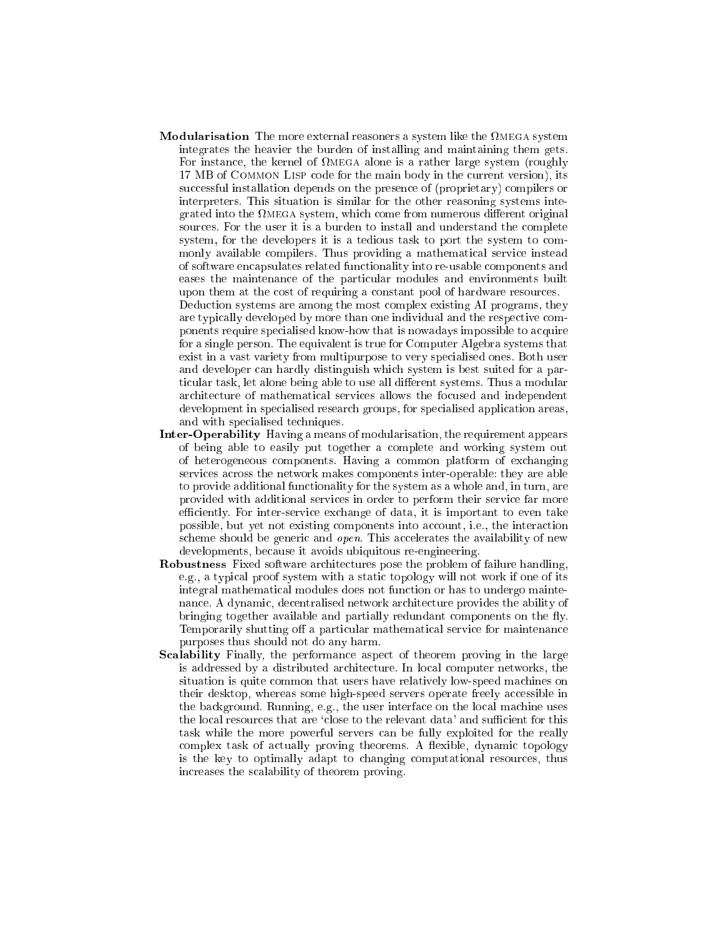Modularisation The more external reasoners a system like the mega system integrates the heavier the burden of installing and maintaining them gets. For instan
e, the kernel of mega alone is a rather large system (roughly 17 MB of Common Lisp ode for the main body in the urrent version), its successful installation depends on the presence of (proprietary) compilers or interpreters. This situation is similar for the other reasoning systems integrated into the mega system, whi
h ome from numerous dierent original sources. For the user it is a burden to install and understand the complete system, for the developers it is a tedious task to port the system to commonly available ompilers. Thus providing a mathemati
al servi
e instead of software en
apsulates related fun
tionality into re-usable omponents and eases the maintenance of the particular modules and environments built upon them at the cost of requiring a constant pool of hardware resources.

Deduction systems are among the most complex existing AI programs, they are typically developed by more than one individual and the respective components require spe
ialised know-how that is nowadays impossible to a
quire for a single person. The equivalent is true for Computer Algebra systems that exist in a vast variety from multipurpose to very spe
ialised ones. Both user and developer can hardly distinguish which system is best suited for a particular task, let alone being able to use all different systems. Thus a modular ar
hite
ture of mathemati
al servi
es allows the fo
used and independent development in specialised research groups, for specialised application areas, and with spe
ialised te
hniques.

- Inter-Operability Having a means of modularisation, the requirement appears of being able to easily put together a omplete and working system out of heterogeneous omponents. Having a ommon platform of ex
hanging servi
es a
ross the network makes omponents inter-operable: they are able to provide additional functionality for the system as a whole and, in turn, are provided with additional servi
es in order to perform their servi
e far more efficiently. For inter-service exchange of data, it is important to even take possible, but yet not existing components into account, i.e., the interaction scheme should be generic and *open*. This accelerates the availability of new developments, because it avoids ubiquitous re-engineering.
- Robustness Fixed software architectures pose the problem of failure handling, e.g., a typical proof system with a static topology will not work if one of its integral mathemati
al modules does not fun
tion or has to undergo maintenan
e. A dynami
, de
entralised network ar
hite
ture provides the ability of bringing together available and partially redundant components on the fly. Temporarily shutting off a particular mathematical service for maintenance purposes thus should not do any harm.
- **Scalability** Finally, the performance aspect of theorem proving in the large is addressed by a distributed ar
hite
ture. In lo
al omputer networks, the situation is quite ommon that users have relatively low-speed ma
hines on their desktop, whereas some high-speed servers operate freely accessible in the background. Running, e.g., the user interface on the local machine uses the local resources that are 'close to the relevant data' and sufficient for this task while the more powerful servers an be fully exploited for the really complex task of actually proving theorems. A flexible, dynamic topology is the key to optimally adapt to hanging omputational resour
es, thus in
reases the s
alability of theorem proving.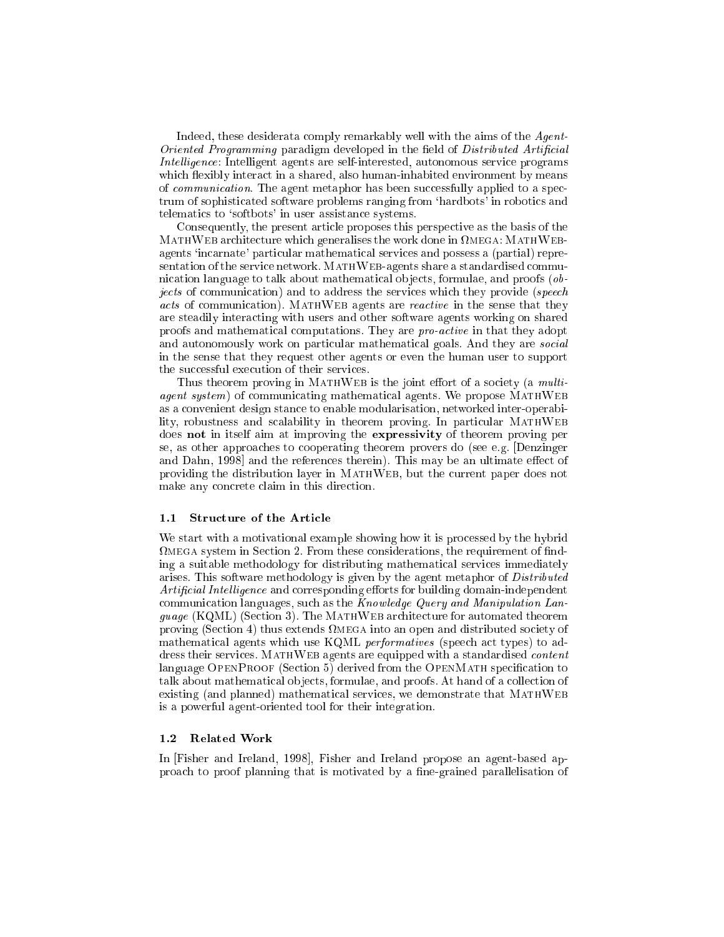Indeed, these desiderata omply remarkably well with the aims of the Agent-Oriented Programming paradigm developed in the field of Distributed Artificial Intelligence: Intelligent agents are self-interested, autonomous service programs which flexibly interact in a shared, also human-inhabited environment by means of *communication*. The agent metaphor has been successfully applied to a spectrum of sophisticated software problems ranging from 'hardbots' in robotics and telemati
s to `softbots' in user assistan
e systems.

Consequently, the present article proposes this perspective as the basis of the mathweb are the contract to me and all the work the work does not also as a media of the work of the second to agents `in
arnate' parti
ular mathemati
al servi
es and possess a (partial) representation of the service network. MATHWEB-agents share a standardised communication language to talk about mathematical objects, formulae, and proofs (objects of communication) and to address the services which they provide (speech acts of communication). MATHWEB agents are *reactive* in the sense that they are steadily intera
ting with users and other software agents working on shared proofs and mathematical computations. They are *pro-active* in that they adopt and autonomously work on particular mathematical goals. And they are *social* in the sense that they request other agents or even the human user to support the successful execution of their services.

Thus theorem proving in MATHWEB is the joint effort of a society (a  $multi$ agent system) of communicating mathematical agents. We propose MATHWEB as a onvenient design stan
e to enable modularisation, networked inter-operability, robustness and scalability in theorem proving. In particular MATHWEB does not in itself aim at improving the expressivity of theorem proving per se, as other approaches to cooperating theorem provers do (see e.g. [Denzinger and Dahn, 1998 and the references therein). This may be an ultimate effect of providing the distribution layer in MATHWEB, but the current paper does not make any concrete claim in this direction.

#### 1.1 Structure of the Article

We start with a motivational example showing how it is processed by the hybrid mega system in Se
tion 2. From these onsiderations, the requirement of nding a suitable methodology for distributing mathemati
al servi
es immediately arises. This software methodology is given by the agent metaphor of Distributed Artificial Intelligence and corresponding efforts for building domain-independent communication languages, such as the  $Knowledge$  Query and Manipulation Language (KQML) (Se
tion 3). The MathWeb ar
hite
ture for automated theorem proving (See the c) the measurement control and distributed some the source of the source of the source of mathematical agents which use KQML *performatives* (speech act types) to address their services. MATHWEB agents are equipped with a standardised *content* language OPENPROOF (Section 5) derived from the OPENMATH specification to talk about mathematical objects, formulae, and proofs. At hand of a collection of existing (and planned) mathematical services, we demonstrate that MATHWEB is a powerful agent-oriented tool for their integration.

In Fisher and Ireland, 1998, Fisher and Ireland propose an agent-based approach to proof planning that is motivated by a fine-grained parallelisation of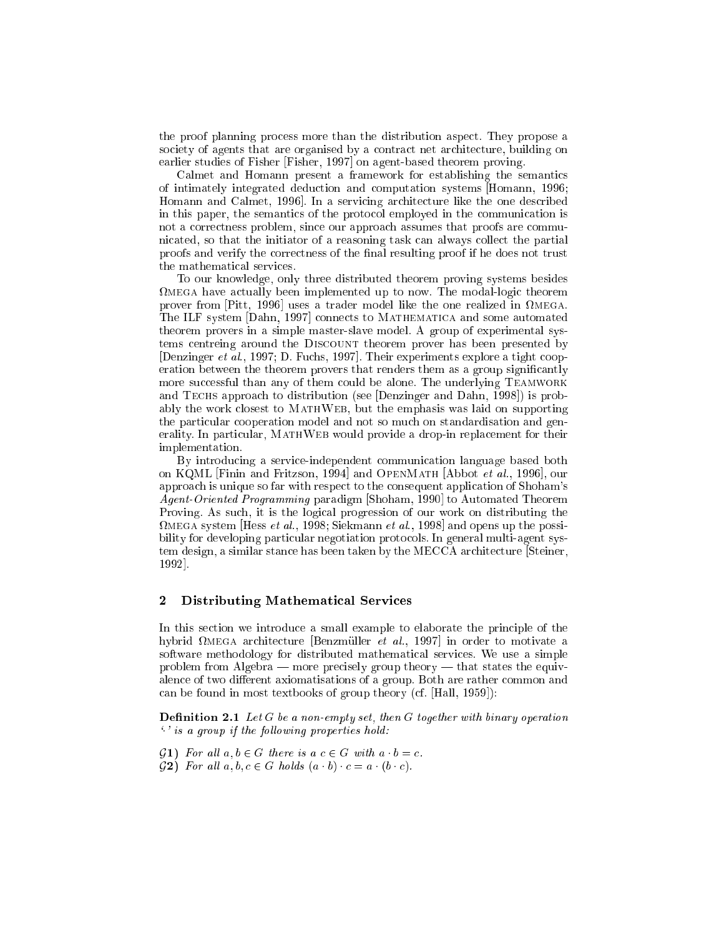the proof planning pro
ess more than the distribution aspe
t. They propose a society of agents that are organised by a contract net architecture, building on earlier studies of Fisher [Fisher, 1997] on agent-based theorem proving.

Calmet and Homann present a framework for establishing the semantics of intimately integrated dedu
tion and omputation systems [Homann, 1996; Homann and Calmet, 1996. In a servicing architecture like the one described in this paper, the semantics of the protocol employed in the communication is not a orre
tness problem, sin
e our approa
h assumes that proofs are ommuni
ated, so that the initiator of a reasoning task an always olle
t the partial proofs and verify the correctness of the final resulting proof if he does not trust the mathemati
al servi
es.

To our knowledge, only three distributed theorem proving systems besides mega have a
tually been implemented up to now. The modal-logi theorem prover from [Pitte, 1996] does a trader model mic the one realized in tradering The ILF system [Dahn, 1997] connects to MATHEMATICA and some automated theorem provers in a simple master-slave model. A group of experimental systems centreing around the DISCOUNT theorem prover has been presented by [Denzinger et al., 1997; D. Fuchs, 1997]. Their experiments explore a tight cooperation between the theorem provers that renders them as a group significantly more successful than any of them could be alone. The underlying TEAMWORK and TECHS approach to distribution (see [Denzinger and Dahn, 1998]) is probably the work closest to MATHWEB, but the emphasis was laid on supporting the particular cooperation model and not so much on standardisation and generality. In particular, MATHWEB would provide a drop-in replacement for their implementation.

By introdu
ing a servi
e-independent ommuni
ation language based both on KQML Finin and Fritzson, 1994 and OpenMath [Abbot *et al.*, 1996], our approa
h is unique so far with respe
t to the onsequent appli
ation of Shoham's Agent-Oriented Programming paradigm [Shoham, 1990] to Automated Theorem Proving. As su
h, it is the logi
al progression of our work on distributing the wega system problem and the set al., is seen all the alleged and opens up the possibility for developing particular negotiation protocols. In general multi-agent system design, a similar stance has been taken by the MECCA architecture Steiner, 1992.

## 2 Distributing Mathemati
al Servi
es

In this section we introduce a small example to elaborate the principle of the mybrid megal architecture positionist of any room, in order to informate a software methodology for distributed mathemati
al servi
es. We use a simple problem from Algebra — more precisely group theory — that states the equivalence of two different axiomatisations of a group. Both are rather common and can be found in most textbooks of group theory (cf.  $\text{[Hall, 1959]}$ ):

**Definition 2.1** Let G be a non-empty set, then G together with binary operation  $\cdot$  ' is a group if the following properties hold:

- $\mathcal{G}_1$ ) For all  $a, b \in G$  there is  $a \in G$  with  $a \cdot b = c$ .
- $\mathcal{G}_2$ ) For all  $a, b, c \in G$  holds  $(a \mid b) \mid c = a \mid (b \mid c)$ .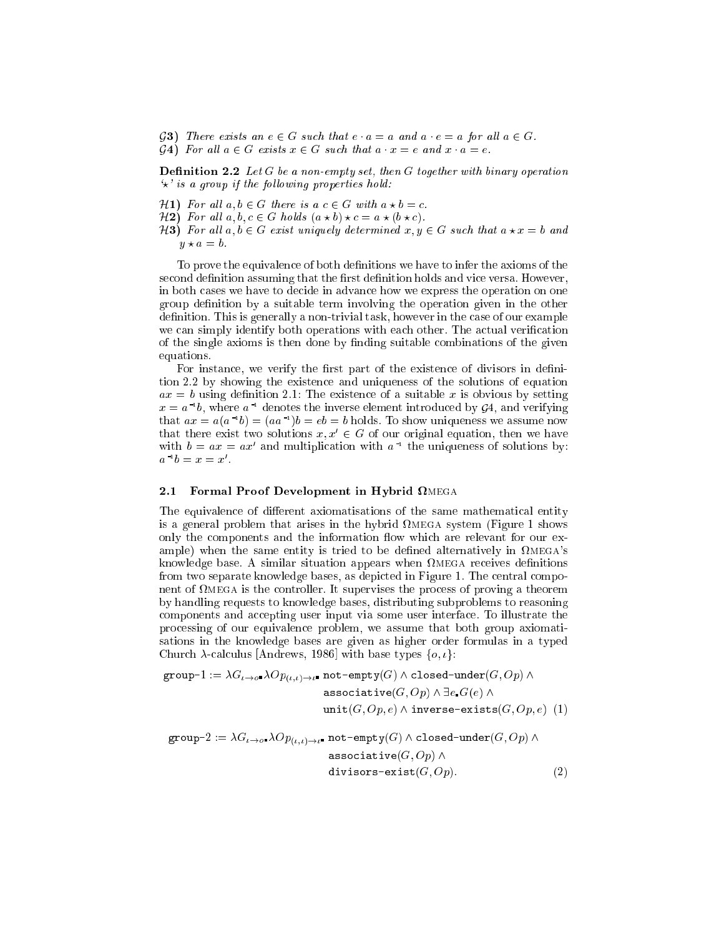- G3) There exists an  $e \in G$  such that  $e \cdot a = a$  and  $a \cdot e = a$  for all  $a \in G$ .
- $\mathcal{G}$ 4) For all  $a \in G$  exists  $x \in G$  such that  $a \cdot x = e$  and  $x \cdot a = e$ .

**Definition 2.2** Let  $G$  be a non-empty set, then  $G$  together with binary operation  $\star$ ' is a group if the following properties hold:

- $H1)$  For all  $a, b \in G$  there is  $a \in G$  with  $a \star b = c$ .
- $H2$ ) For all  $a, b, c \in G$  holds  $(a \star b) \star c = a \star (b \star c)$ .
- $H3)$  For all  $a, b \in G$  exist uniquely determined  $x, y \in G$  such that  $a \star x = b$  and  $y \star a = b$ .

To prove the equivalence of both definitions we have to infer the axioms of the second definition assuming that the first definition holds and vice versa. However, in both cases we have to decide in advance how we express the operation on one group definition by a suitable term involving the operation given in the other definition. This is generally a non-trivial task, however in the case of our example we can simply identify both operations with each other. The actual verification of the single axioms is then done by finding suitable combinations of the given equations.

For instance, we verify the first part of the existence of divisors in definition 2.2 by showing the existen
e and uniqueness of the solutions of equation  $ax = b$  using definition 2.1: The existence of a suitable x is obvious by setting  $x = a_1$  to, where  $a_1$  denotes the inverse element introduced by  $g_4$ , and verifying that  $ax = a(a^{-1}b) = (aa^{-1})b = e$  = 0 holds. To show uniqueness we assume now that there exist two solutions  $x, x ~\in~ \mathrm{G}$  of our original equation, then we have with  $v = ax = ax$  and multiplication with a line uniqueness of solutions by:  $a\ \ldotp v = x = x$ 

#### 2.1 Formal Proof Development in Hybrid mega

The equivalence of different axiomatisations of the same mathematical entity is a general problem that arises in the hybrid mega system (Figure 1 shows only the components and the information flow which are relevant for our example) when the same entity is tried to be defined alternatively in  $\Omega_{\text{MEGA}}$ 's knowledge base. A similar situation appears when mega re
eives denitions from two separate knowledge bases, as depicted in Figure 1. The central component of the province is the province of the province the province province  $\pi$  and the province  $\pi$ by handling requests to knowledge bases, distributing subproblems to reasoning components and accepting user input via some user interface. To illustrate the pro
essing of our equivalen
e problem, we assume that both group axiomatisations in the knowledge bases are given as higher order formulas in a typed Church  $\lambda$ -calculus [Andrews, 1986] with base types  $\{o, i\}$ :

$$
\text{group-1} := \lambda G_{\iota \to o^*} \lambda Op_{(\iota, \iota) \to \iota^*} \text{ not-empty}(G) \land \text{closed-under}(G, Op) \land
$$
\n
$$
\text{associative}(G, Op) \land \exists e \cdot G(e) \land
$$
\n
$$
\text{unit}(G, Op, e) \land \text{inverse-exists}(G, Op, e) \quad (1)
$$
\n
$$
\text{group } 2 := \lambda G \qquad \text{for} \qquad \text{not } \text{empty}(G) \land \text{closed under}(G, Op, e) \quad (2)
$$

$$
\text{group-2} := \lambda G_{t \to o^*} \lambda O p_{(t,t) \to t^*} \text{ not-empty}(G) \land \text{close-under}(G, Op) \land
$$
\n
$$
\text{associative}(G, Op) \land
$$
\n
$$
\text{divisors-exist}(G, Op). \tag{2}
$$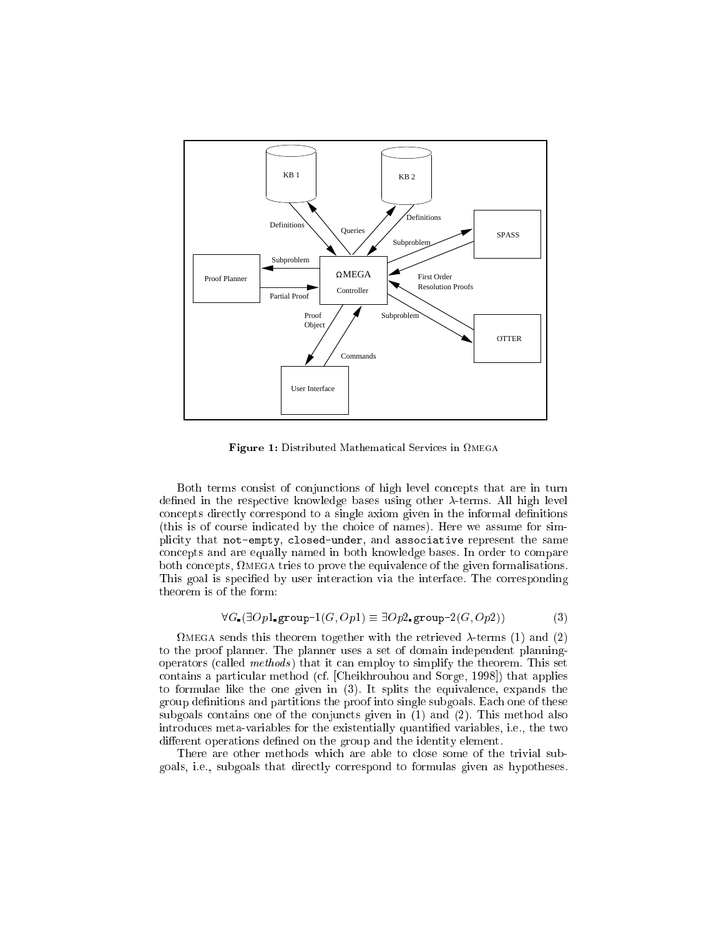

Figure 1: Distributed Mathemati
al Servi
es in mega

Both terms onsist of onjun
tions of high level on
epts that are in turn defined in the respective knowledge bases using other  $\lambda$ -terms. All high level concepts directly correspond to a single axiom given in the informal definitions (this is of ourse indi
ated by the hoi
e of names). Here we assume for simpli
ity that not-empty, losed-under, and asso
iative represent the same on
epts and are equally named in both knowledge bases. In order to ompare both on
epts, mega tries to prove the equivalen
e of the given formalisations. This goal is specified by user interaction via the interface. The corresponding theorem is of the form:

$$
\forall G. (\exists Op1.\text{group-1}(G, Op1) \equiv \exists Op2.\text{group-2}(G, Op2))
$$
 (3)

measurem to the sensor theorem to  $\alpha$  , the retrieved of the retrieved  $\alpha$  ,  $\alpha$  ,  $\alpha$  and  $\alpha$ to the proof planner. The planner uses a set of domain independent planningoperators (called methods) that it can employ to simplify the theorem. This set contains a particular method (cf. [Cheikhrouhou and Sorge, 1998]) that applies to formulae like the one given in (3). It splits the equivalen
e, expands the group definitions and partitions the proof into single subgoals. Each one of these subgoals ontains one of the onjun
ts given in (1) and (2). This method also introdu
es meta-variables for the existentially quantied variables, i.e., the two different operations defined on the group and the identity element.

There are other methods which are able to close some of the trivial subgoals, i.e., subgoals that dire
tly orrespond to formulas given as hypotheses.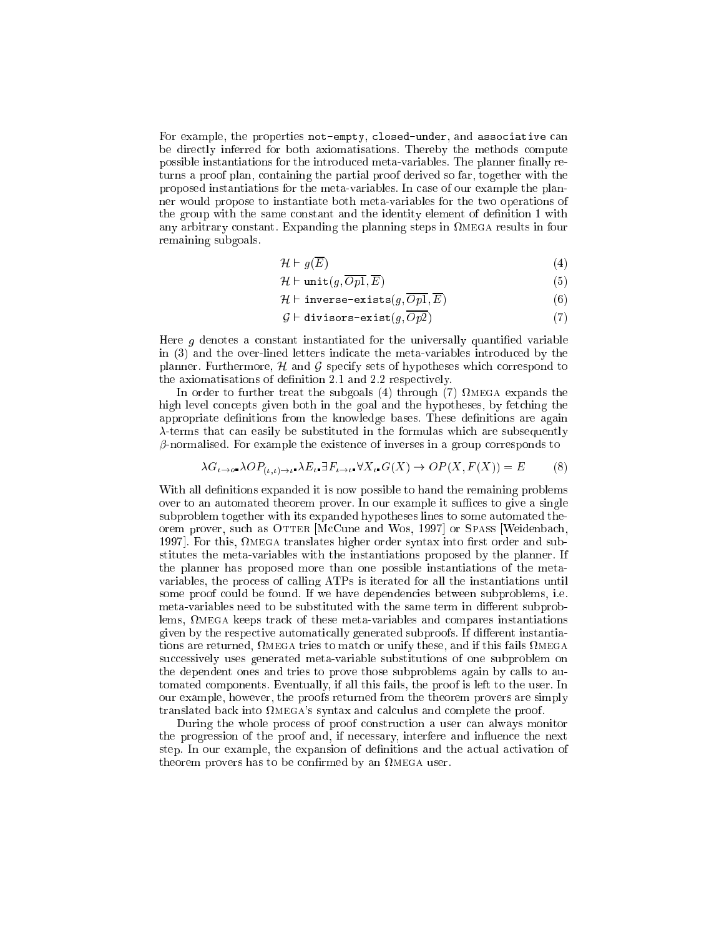For example, the properties not-empty, closed-under, and associative can be dire
tly inferred for both axiomatisations. Thereby the methods ompute possible instantiations for the introduced meta-variables. The planner finally returns a proof plan, ontaining the partial proof derived so far, together with the proposed instantiations for the meta-variables. In ase of our example the planner would propose to instantiate both meta-variables for the two operations of the group with the same constant and the identity element of definition 1 with any arbitrary communication and planning steps in four planning steps in four and the planning steps in four remaining subgoals.

$$
\mathcal{H} \vdash g(\overline{E})\tag{4}
$$

$$
\mathcal{H} \vdash \text{unit}(g, \overline{Op1}, \overline{E}) \tag{5}
$$

$$
\mathcal{H} \vdash \text{inverse-exists}(g, Op1, E) \tag{6}
$$

$$
\mathcal{G} \vdash \text{divisors-exist}(g, \overline{Op2}) \tag{7}
$$

Here  $q$  denotes a constant instantiated for the universally quantified variable in (3) and the over-lined letters indicate the meta-variables introduced by the planner. Furthermore,  $H$  and  $G$  specify sets of hypotheses which correspond to the axiomatisations of definition 2.1 and 2.2 respectively.

In order to further treat the subgoals (4) through (7) mega expands the high level concepts given both in the goal and the hypotheses, by fetching the appropriate definitions from the knowledge bases. These definitions are again  $\lambda$ -terms that can easily be substituted in the formulas which are subsequently  $\beta$ -normalised. For example the existence of inverses in a group corresponds to

$$
\lambda G_{\iota \to o^*} \lambda OP_{(\iota, \iota) \to \iota^*} \lambda E_{\iota} \exists F_{\iota \to \iota^*} \forall X_{\iota^*} G(X) \to OP(X, F(X)) = E
$$
 (8)

With all definitions expanded it is now possible to hand the remaining problems over to an automated theorem prover. In our example it suffices to give a single subproblem together with its expanded hypotheses lines to some automated theorem prover, such as OTTER [McCune and Wos, 1997] or SPASS [Weidenbach, 1997℄. For this, mega translates higher order syntax into rst order and substitutes the meta-variables with the instantiations proposed by the planner. If the planner has proposed more than one possible instantiations of the metavariables, the pro
ess of alling ATPs is iterated for all the instantiations until some proof ould be found. If we have dependen
ies between subproblems, i.e. meta-variables need to be substituted with the same term in different subproblems, mega keeps tra
k of these meta-variables and ompares instantiations given by the respective automatically generated subproofs. If different instantiations are returned, mega tries to mat
h or unify these, and if this fails mega successively uses generated meta-variable substitutions of one subproblem on the dependent ones and tries to prove those subproblems again by alls to automated omponents. Eventually, if all this fails, the proof is left to the user. In our example, however, the proofs returned from the theorem provers are simply translated back into  $\Omega_{\text{MEGA}}$ 's syntax and calculus and complete the proof.

During the whole process of proof construction a user can always monitor the progression of the proof and, if necessary, interfere and influence the next step. In our example, the expansion of definitions and the actual activation of theorem provers has to be onrmed by an mega user.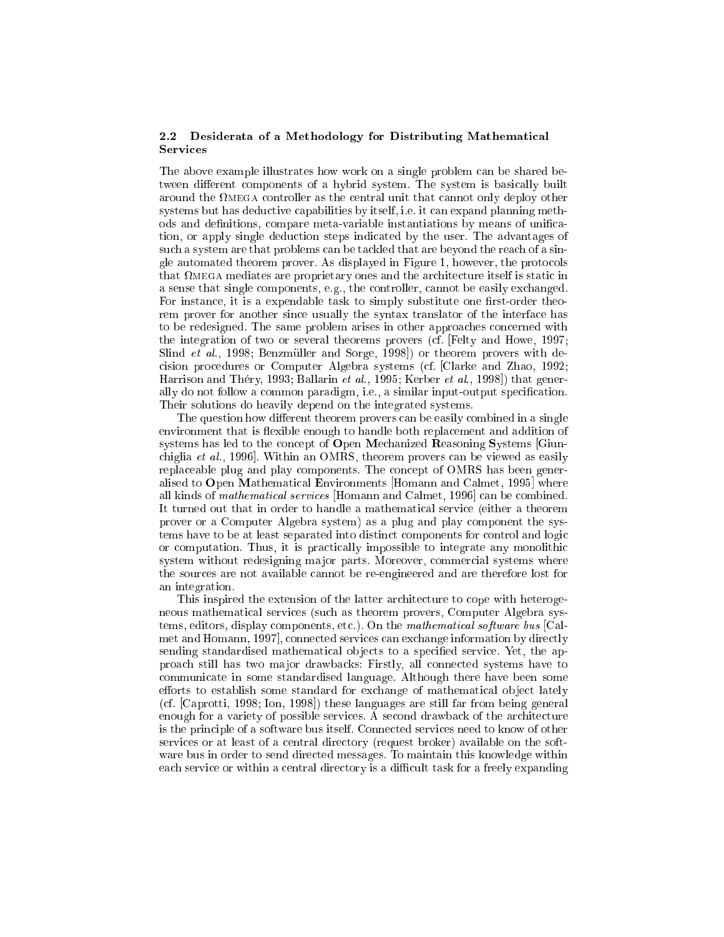## 2.2 Desiderata of a Methodology for Distributing Mathemati
al **Services**

The above example illustrates how work on a single problem an be shared between different components of a hybrid system. The system is basically built are meen that that is the controller on the complete meet that the complete that is the control systems but has deductive capabilities by itself, i.e. it can expand planning methods and definitions, compare meta-variable instantiations by means of unification, or apply single dedu
tion steps indi
ated by the user. The advantages of such a system are that problems can be tackled that are beyond the reach of a single automated theorem prover. As displayed in Figure 1, however, the proto
ols that mega mediates are proprietary ones and the ar
hite
ture itself is stati in a sense that single omponents, e.g., the ontroller, annot be easily ex
hanged. For instance, it is a expendable task to simply substitute one first-order theorem prover for another since usually the syntax translator of the interface has to be redesigned. The same problem arises in other approaches concerned with the integration of two or several theorems provers (
f. [Felty and Howe, 1997; Slind *et al.*, 1998; Benzmüller and Sorge, 1998) or theorem provers with deision pro
edures or Computer Algebra systems (
f. [Clarke and Zhao, 1992; Harrison and Théry, 1993; Ballarin et al., 1995; Kerber et al., 1998) that generally do not follow a common paradigm, i.e., a similar input-output specification. Their solutions do heavily depend on the integrated systems.

The question how different theorem provers can be easily combined in a single environment that is exible enough to handle both repla
ement and addition of systems has led to the concept of Open Mechanized Reasoning Systems [Giunchiglia *et al.*, 1996. Within an OMRS, theorem provers can be viewed as easily replaceable plug and play components. The concept of OMRS has been generalised to Open Mathematical Environments Homann and Calmet, 1995 where all kinds of *mathematical services* Homann and Calmet, 1996 can be combined. It turned out that in order to handle a mathemati
al servi
e (either a theorem prover or a Computer Algebra system) as a plug and play omponent the systems have to be at least separated into distinct components for control and logic or computation. Thus, it is practically impossible to integrate any monolithic system without redesigning ma jor parts. Moreover, ommer
ial systems where the sour
es are not available annot be re-engineered and are therefore lost for an integration.

This inspired the extension of the latter architecture to cope with heterogeneous mathemati
al servi
es (su
h as theorem provers, Computer Algebra systems, editors, display components, etc.). On the mathematical software bus [Calmet and Homann, 1997], connected services can exchange information by directly sending standardised mathematical objects to a specified service. Yet, the approa
h still has two ma jor drawba
ks: Firstly, all onne
ted systems have to ommuni
ate in some standardised language. Although there have been some efforts to establish some standard for exchange of mathematical object lately (cf. [Caprotti, 1998; Ion, 1998]) these languages are still far from being general enough for a variety of possible services. A second drawback of the architecture is the principle of a software bus itself. Connected services need to know of other services or at least of a central directory (request broker) available on the software bus in order to send dire
ted messages. To maintain this knowledge within each service or within a central directory is a difficult task for a freely expanding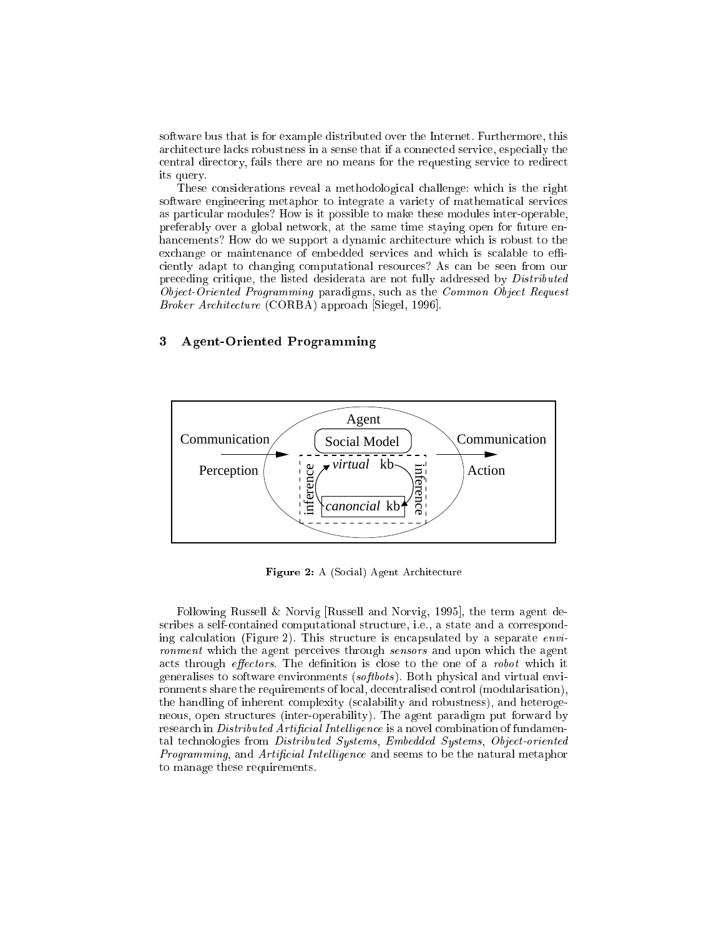software bus that is for example distributed over the Internet. Furthermore, this ar
hite
ture la
ks robustness in a sense that if a onne
ted servi
e, espe
ially the central directory, fails there are no means for the requesting service to redirect its query.

These onsiderations reveal a methodologi
al hallenge: whi
h is the right software engineering metaphor to integrate a variety of mathemati
al servi
es as parti
ular modules? How is it possible to make these modules inter-operable, preferably over a global network, at the same time staying open for future enhancements? How do we support a dynamic architecture which is robust to the exchange or maintenance of embedded services and which is scalable to efficiently adapt to changing computational resources? As can be seen from our preceding critique, the listed desiderata are not fully addressed by Distributed Object-Oriented Programming paradigms, such as the Common Object Request Broker Architecture (CORBA) approach [Siegel, 1996].

#### $\mathbf{3}$ 3 Agent-Oriented Programming



Figure 2: A (Social) Agent Architecture

Following Russell & Norvig [Russell and Norvig, 1995], the term agent describes a self-contained computational structure, i.e., a state and a corresponding calculation (Figure 2). This structure is encapsulated by a separate environment which the agent perceives through sensors and upon which the agent acts through *effectors*. The definition is close to the one of a *robot* which it generalises to software environments (softbots). Both physical and virtual environments share the requirements of local, decentralised control (modularisation), the handling of inherent omplexity (s
alability and robustness), and heterogeneous, open structures (inter-operability). The agent paradigm put forward by research in Distributed Artificial Intelligence is a novel combination of fundamental technologies from Distributed Systems, Embedded Systems, Object-oriented Programming, and Artificial Intelligence and seems to be the natural metaphor to manage these requirements.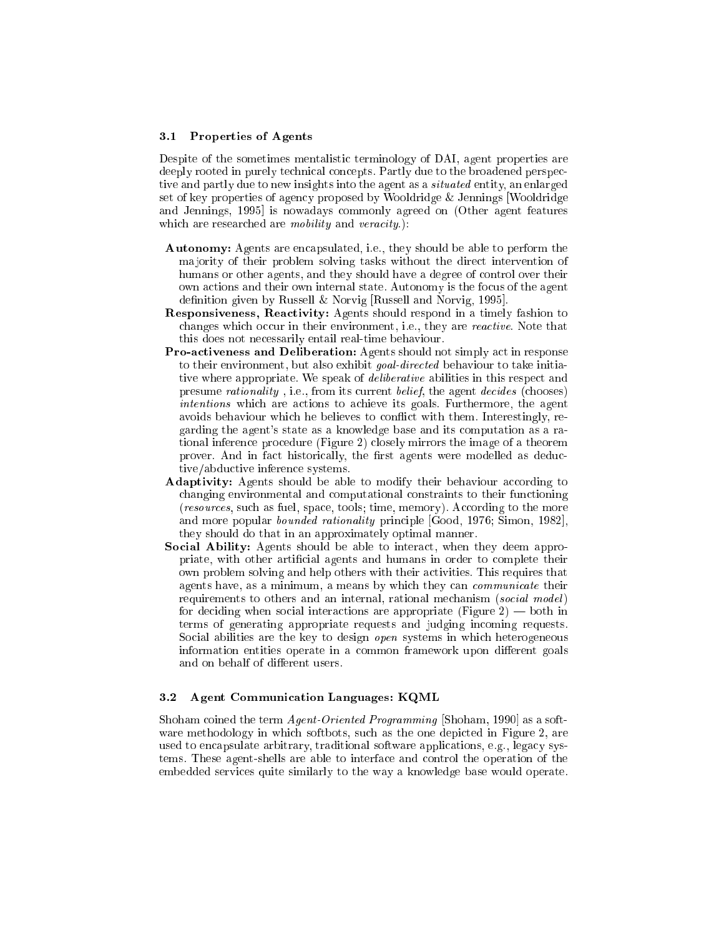## 3.1 Properties of Agents

Despite of the sometimes mentalistic terminology of DAI, agent properties are deeply rooted in purely technical concepts. Partly due to the broadened perspective and partly due to new insights into the agent as a situated entity, an enlarged set of key properties of agen
y proposed by Wooldridge & Jennings [Wooldridge and Jennings, 1995 is nowadays commonly agreed on (Other agent features which are researched are *mobility* and *veracity*.):

- Autonomy: Agents are encapsulated, i.e., they should be able to perform the ma jority of their problem solving tasks without the dire
t intervention of humans or other agents, and they should have a degree of control over their own a
tions and their own internal state. Autonomy is the fo
us of the agent definition given by Russell & Norvig [Russell and Norvig, 1995].
- Responsiveness, Reactivity: Agents should respond in a timely fashion to changes which occur in their environment, i.e., they are *reactive*. Note that this does not ne
essarily entail real-time behaviour.
- Pro-activeness and Deliberation: Agents should not simply act in response to their environment, but also exhibit *goal-directed* behaviour to take initiative where appropriate. We speak of *deliberative* abilities in this respect and presume *rationality*, i.e., from its current *belief*, the agent *decides* (chooses) intentions which are actions to achieve its goals. Furthermore, the agent avoids behaviour which he believes to conflict with them. Interestingly, regarding the agent's state as a knowledge base and its omputation as a rational inferen
e pro
edure (Figure 2) losely mirrors the image of a theorem prover. And in fact historically, the first agents were modelled as deductive/abdu
tive inferen
e systems.
- Adaptivity: Agents should be able to modify their behaviour according to hanging environmental and omputational onstraints to their fun
tioning (*resources*, such as fuel, space, tools; time, memory). According to the more and more popular *bounded rationality* principle [Good, 1976; Simon, 1982], they should do that in an approximately optimal manner.
- Social Ability: Agents should be able to interact, when they deem appropriate, with other artificial agents and humans in order to complete their own problem solving and help others with their activities. This requires that agents have, as a minimum, a means by which they can *communicate* their requirements to others and an internal, rational mechanism (social model) for deciding when social interactions are appropriate (Figure  $2$ ) — both in terms of generating appropriate requests and judging in
oming requests. Social abilities are the key to design *open* systems in which heterogeneous information entities operate in a common framework upon different goals and on behalf of different users.

## 3.2 Agent Communi
ation Languages: KQML

Shoham coined the term Agent-Oriented Programming [Shoham, 1990] as a software methodology in which softbots, such as the one depicted in Figure 2, are used to encapsulate arbitrary, traditional software applications, e.g., legacy systems. These agent-shells are able to interfa
e and ontrol the operation of the embedded servi
es quite similarly to the way a knowledge base would operate.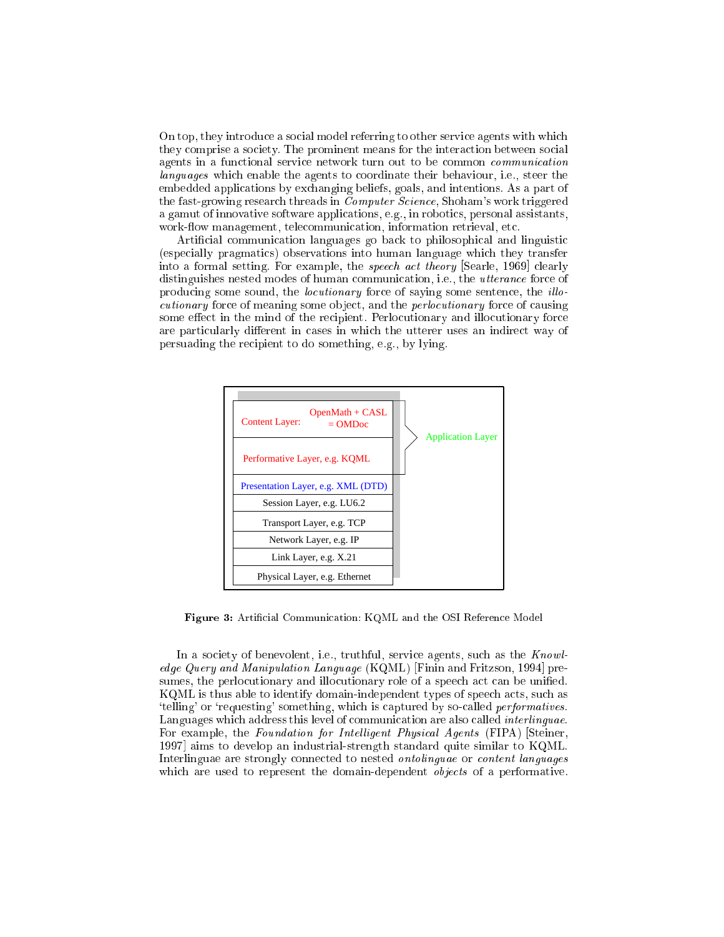On top, they introduce a social model referring to other service agents with which they comprise a society. The prominent means for the interaction between social agents in a functional service network turn out to be common *communication* languages which enable the agents to coordinate their behaviour, i.e., steer the embedded applications by exchanging beliefs, goals, and intentions. As a part of the fast-growing research threads in  $\bar{Computer}$  Science, Shoham's work triggered a gamut of innovative software applications, e.g., in robotics, personal assistants, work-flow management, telecommunication, information retrieval, etc.

Artificial communication languages go back to philosophical and linguistic (espe
ially pragmati
s) observations into human language whi
h they transfer into a formal setting. For example, the *speech act theory* [Searle, 1969] clearly distinguishes nested modes of human communication, i.e., the *utterance* force of producing some sound, the *locutionary* force of saying some sentence, the *illo*cutionary force of meaning some object, and the *perlocutionary* force of causing some effect in the mind of the recipient. Perlocutionary and illocutionary force are particularly different in cases in which the utterer uses an indirect way of persuading the re
ipient to do something, e.g., by lying.



Figure 3: Artificial Communication: KQML and the OSI Reference Model

In a society of benevolent, i.e., truthful, service agents, such as the Knowledge Query and Manipulation Language (KQML) [Finin and Fritzson, 1994] presumes, the perlocutionary and illocutionary role of a speech act can be unified. KQML is thus able to identify domain-independent types of speech acts, such as 'telling' or 'requesting' something, which is captured by so-called *performatives*. Languages which address this level of communication are also called *interlinguae*. For example, the Foundation for Intelligent Physical Agents (FIPA) Steiner, 1997 aims to develop an industrial-strength standard quite similar to KQML. Interlinguae are strongly connected to nested *ontolinguae* or *content languages* which are used to represent the domain-dependent *objects* of a performative.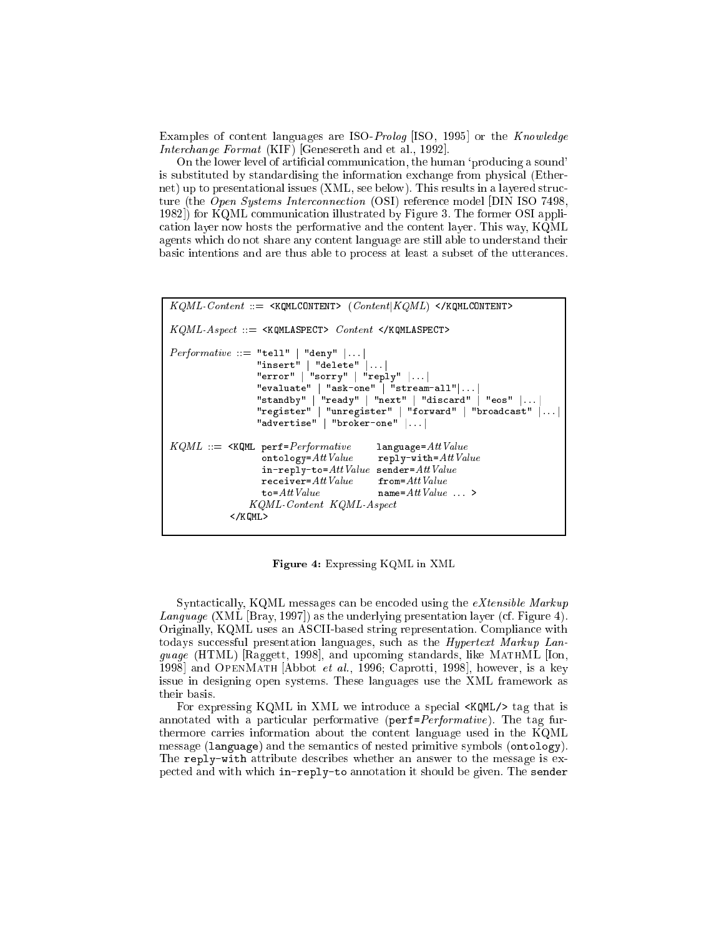Examples of content languages are ISO-Prolog [ISO, 1995] or the Knowledge *Interchange Format* (KIF) Genesereth and et al., 1992.

On the lower level of artificial communication, the human 'producing a sound' is substituted by standardising the information exchange from physical (Ethernet) up to presentational issues (XML, see below). This results in a layered structure (the *Open Systems Interconnection* (OSI) reference model [DIN ISO 7498, 1982]) for KQML communication illustrated by Figure 3. The former OSI application layer now hosts the performative and the content layer. This way, KQML agents which do not share any content language are still able to understand their basic intentions and are thus able to process at least a subset of the utterances.

```
KQML\text{-}Content ::= \texttt{<KQMLCONTENT> }(Content|KQML) \texttt{<} / \texttt{KQML} CONTENT>
KQML-Aspect ::= <KQMLASPECT> Content </KQMLASPECT>
\textit{Performance} ::= "tell" | "deny" | ... |"insert" | "delete" | ...
                    "error" | "sorry" | "reply" | \cdot |"evaluate" | "ask-one" | "stream-all" | ..."standby" | "ready" | "next" | "discard" | "eos" |...<br>"register" | "unregister" | "forward" | "broadcast"
                    "advertise" | "broker-one" |...|KQML ::= \leq KQML perf=Performativelanguage=AttValue\texttt{ontology}=AttValuereply-with=AttValue\verb"in-reply-to=Att Value sender=Att Value\texttt{receiver=}AttValuefrom=Att Value\texttt{to=}AttValuename=AttValue...
                  KQML-Content KQML-Aspect
             \langle/KOML>
```
Figure 4: Expressing KQML in XML

Syntactically, KQML messages can be encoded using the eXtensible Markup Language (XML [Bray, 1997]) as the underlying presentation layer (cf. Figure 4). Originally, KQML uses an ASCII-based string representation. Compliance with todays successful presentation languages, such as the *Hypertext Markup Language* (HTML) [Raggett, 1998], and upcoming standards, like MATHML [Ion, 1998] and OPENMATH [Abbot et al., 1996; Caprotti, 1998], however, is a key issue in designing open systems. These languages use the XML framework as their basis.

For expressing KQML in XML we introduce a special <ARML /> tag that is annotated with a particular performative (perf=Performative). The tag furthermore carries information about the content language used in the KQML message (language) and the semantics of nested primitive symbols (ontology). The reply-with attribute describes whether an answer to the message is expected and with which in-reply-to annotation it should be given. The sender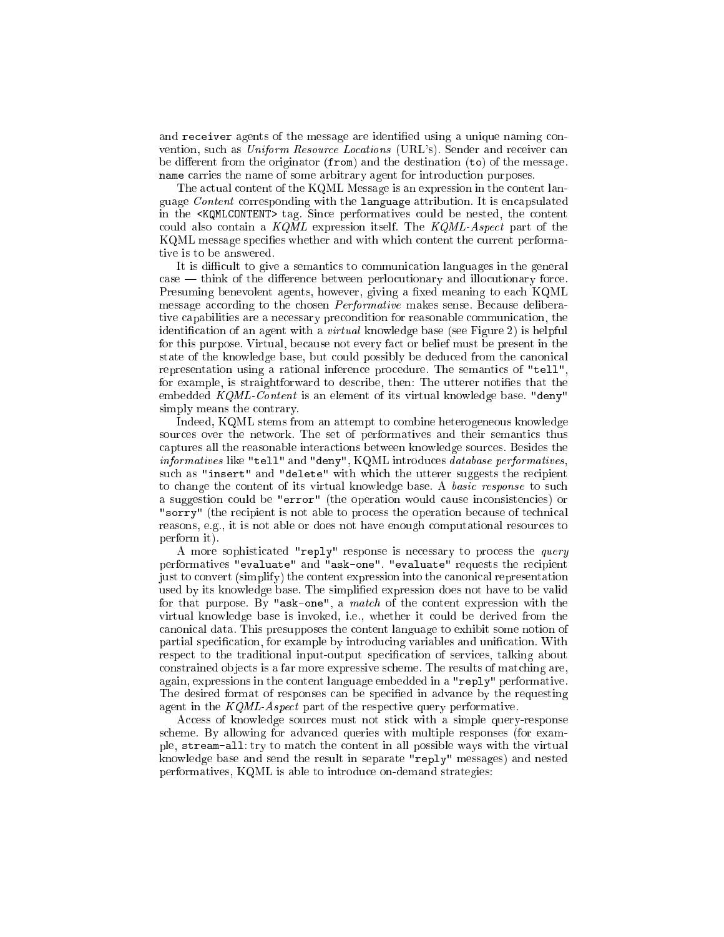and receiver agents of the message are identified using a unique naming convention, such as Uniform Resource Locations (URL's). Sender and receiver can be different from the originator  $(from)$  and the destination  $(to)$  of the message. name carries the name of some arbitrary agent for introduction purposes.

The actual content of the KQML Message is an expression in the content language Content corresponding with the language attribution. It is encapsulated in the <**KQMLCONTENT>** tag. Since performatives could be nested, the content could also contain a  $KQML$  expression itself. The  $KQML-Aspect$  part of the KQML message specifies whether and with which content the current performative is to be answered.

It is difficult to give a semantics to communication languages in the general case — think of the difference between perlocutionary and illocutionary force. Presuming benevolent agents, however, giving a fixed meaning to each KQML message according to the chosen *Performative* makes sense. Because deliberative capabilities are a necessary precondition for reasonable communication, the identification of an agent with a *virtual* knowledge base (see Figure 2) is helpful for this purpose. Virtual, be
ause not every fa
t or belief must be present in the state of the knowledge base, but could possibly be deduced from the canonical representation using a rational inference procedure. The semantics of "tell", for example, is straightforward to describe, then: The utterer notifies that the embedded KQML-Content is an element of its virtual knowledge base. "deny" simply means the ontrary.

Indeed, KQML stems from an attempt to ombine heterogeneous knowledge sources over the network. The set of performatives and their semantics thus aptures all the reasonable intera
tions between knowledge sour
es. Besides the informatives like "tell" and "deny", KQML introduces database performatives, such as "insert" and "delete" with which the utterer suggests the recipient to change the content of its virtual knowledge base. A *basic response* to such a suggestion could be "error" (the operation would cause inconsistencies) or "sorry" (the recipient is not able to process the operation because of technical reasons, e.g., it is not able or does not have enough computational resources to perform it).

A more sophisticated "reply" response is necessary to process the query performatives "evaluate" and "ask-one". "evaluate" requests the recipient just to onvert (simplify) the ontent expression into the anoni
al representation used by its knowledge base. The simplied expression does not have to be valid for that purpose. By "ask-one", a match of the content expression with the virtual knowledge base is invoked, i.e., whether it ould be derived from the anoni
al data. This presupposes the ontent language to exhibit some notion of partial specification, for example by introducing variables and unification. With respect to the traditional input-output specification of services, talking about onstrained ob je
ts is a far more expressive s
heme. The results of mat
hing are, again, expressions in the ontent language embedded in a "reply" performative. The desired format of responses can be specified in advance by the requesting agent in the  $KQML$ -Aspect part of the respective query performative.

Access of knowledge sources must not stick with a simple query-response s
heme. By allowing for advan
ed queries with multiple responses (for example, stream-all: try to mat
h the ontent in all possible ways with the virtual knowledge base and send the result in separate "reply" messages) and nested performatives, KQML is able to introdu
e on-demand strategies: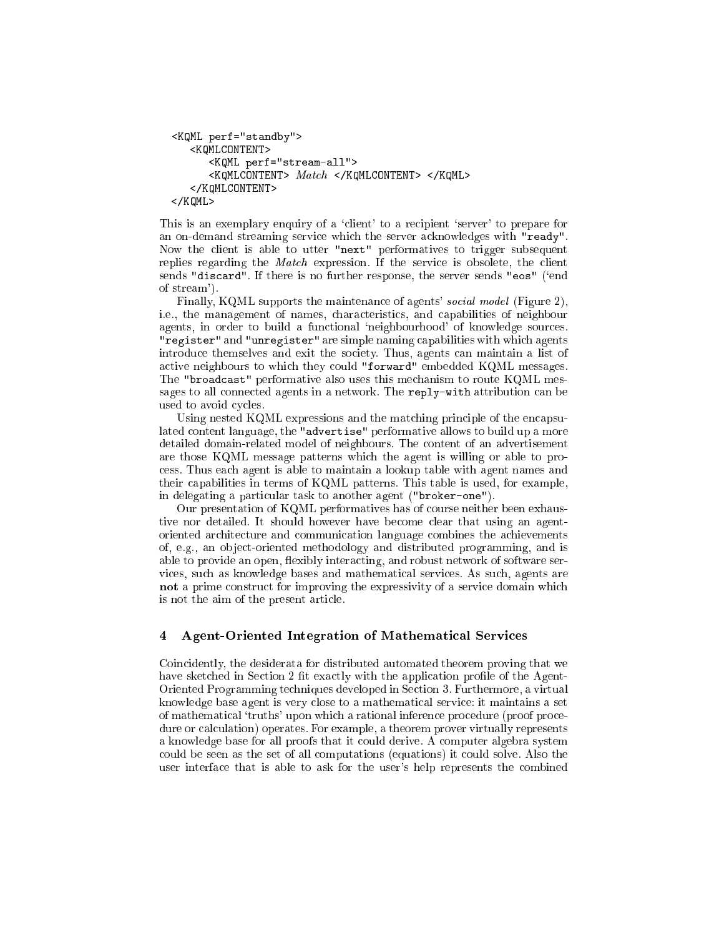```
<KQML perf="standby">
       <KQMLCONTENT>
               <KQML perf="stream-all">
               <KQMLCONTENT> Match </KQMLCONTENT> </KQML>
       </KOMLCONTENT>
       \sim . The set of the set of the set of the set of the set of the set of the set of the set of the set of the set of the set of the set of the set of the set of the set of the set of the set of the set of the set of the s
</KQML>
```
This is an exemplary enquiry of a 'client' to a recipient 'server' to prepare for an on-demand streaming servi
e whi
h the server a
knowledges with "ready". Now the lient is able to utter "next" performatives to trigger subsequent replies regarding the *Match* expression. If the service is obsolete, the client sends "discard". If there is no further response, the server sends "eos" ('end of stream').

Finally, KQML supports the maintenance of agents' *social model* (Figure 2), i.e., the management of names, hara
teristi
s, and apabilities of neighbour agents, in order to build a functional 'neighbourhood' of knowledge sources. "register" and "unregister" are simple naming capabilities with which agents introduce themselves and exit the society. Thus, agents can maintain a list of active neighbours to which they could "forward" embedded KQML messages. The "broad
ast" performative also uses this me
hanism to route KQML messages to all connected agents in a network. The reply-with attribution can be used to avoid cycles.

Using nested KQML expressions and the matching principle of the encapsulated ontent language, the "advertise" performative allows to build up a more detailed domain-related model of neighbours. The ontent of an advertisement are those KQML message patterns whi
h the agent is willing or able to pro ess. Thus ea
h agent is able to maintain a lookup table with agent names and their apabilities in terms of KQML patterns. This table is used, for example, in delegating a particular task to another agent ("broker-one").

Our presentation of KQML performatives has of ourse neither been exhaustive nor detailed. It should however have become clear that using an agentoriented ar
hite
ture and ommuni
ation language ombines the a
hievements of, e.g., an ob je
t-oriented methodology and distributed programming, and is able to provide an open, flexibly interacting, and robust network of software servi
es, su
h as knowledge bases and mathemati
al servi
es. As su
h, agents are not a prime construct for improving the expressivity of a service domain which is not the aim of the present arti
le.

#### $\overline{\mathbf{4}}$ Agent-Oriented Integration of Mathematical Services

Coin
idently, the desiderata for distributed automated theorem proving that we have sketched in Section 2 fit exactly with the application profile of the Agent-Oriented Programming te
hniques developed in Se
tion 3. Furthermore, a virtual knowledge base agent is very lose to a mathemati
al servi
e: it maintains a set of mathematical 'truths' upon which a rational inference procedure (proof procedure or calculation) operates. For example, a theorem prover virtually represents a knowledge base for all proofs that it ould derive. A omputer algebra system could be seen as the set of all computations (equations) it could solve. Also the user interfa
e that is able to ask for the user's help represents the ombined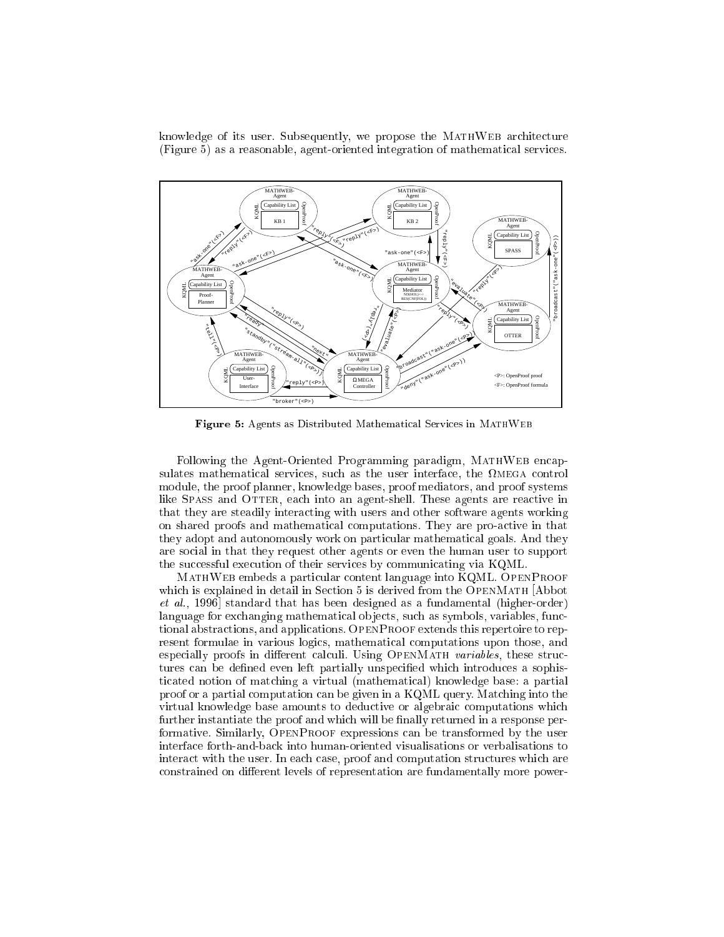knowledge of its user. Subsequently, we propose the MATHWEB architecture (Figure 5) as a reasonable, agent-oriented integration of mathemati
al servi
es.



Figure 5: Agents as Distributed Mathematical Services in MATHWEB

Following the Agent-Oriented Programming paradigm, MATHWEB encapes, such as the user interface in the user interface interface the user interface interface in the user in module, the proof planner, knowledge bases, proof mediators, and proof systems like SPASS and OTTER, each into an agent-shell. These agents are reactive in that they are steadily intera
ting with users and other software agents working on shared proofs and mathematical computations. They are pro-active in that they adopt and autonomously work on particular mathematical goals. And they are so
ial in that they request other agents or even the human user to support the successful execution of their services by communicating via KQML.

ontent language into Kommunistischen der Statten von Statten von Der Statte der Statte und der Statte und der which is explained in detail in Section 5 is derived from the OPENMATH Abbot  $et \ al., 1996]$  standard that has been designed as a fundamental (higher-order) language for exchanging mathematical objects, such as symbols, variables, functional abstra
tions, and appli
ations. OpenProof extends this repertoire to represent formulae in various logics, mathematical computations upon those, and especially proofs in different calculi. Using OPENMATH variables, these structures can be defined even left partially unspecified which introduces a sophisti
ated notion of mat
hing a virtual (mathemati
al) knowledge base: a partial proof or a partial computation can be given in a KQML query. Matching into the virtual knowledge base amounts to deductive or algebraic computations which further instantiate the proof and which will be finally returned in a response performative. Similarly, OpenProof expressions an be transformed by the user interfa
e forth-and-ba
k into human-oriented visualisations or verbalisations to interact with the user. In each case, proof and computation structures which are constrained on different levels of representation are fundamentally more power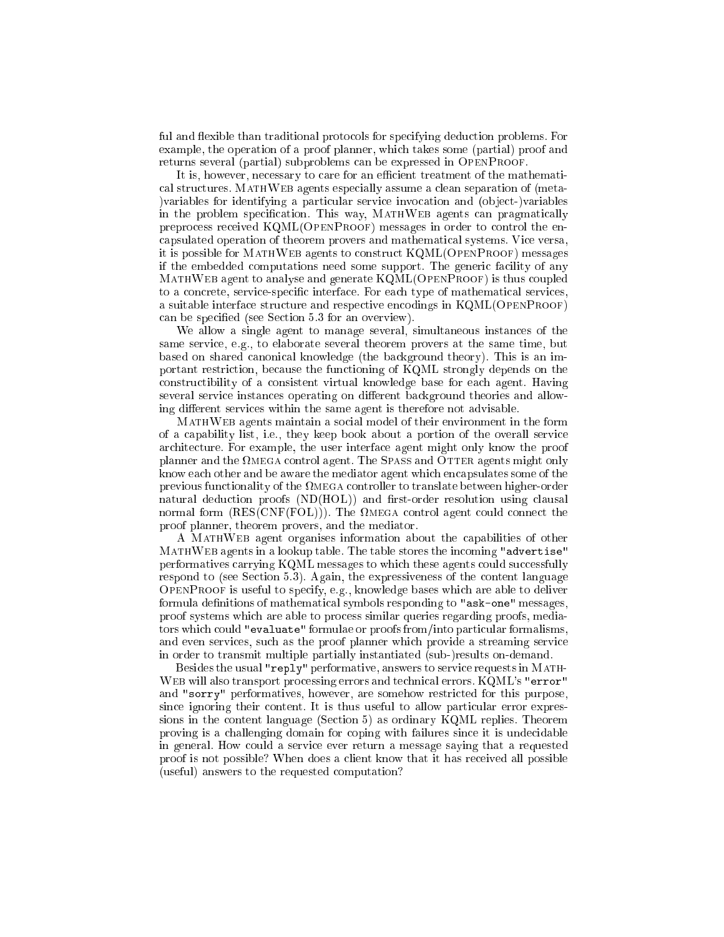ful and flexible than traditional protocols for specifying deduction problems. For example, the operation of a proof planner, which takes some (partial) proof and returns several (partial) subproblems can be expressed in OPENPROOF.

It is, however, necessary to care for an efficient treatment of the mathematical structures. MATHWEB agents especially assume a clean separation of (meta-) variables for identifying a particular service invocation and (object-)variables in the problem specification. This way, MATHWEB agents can pragmatically preprocess received KQML(OPENPROOF) messages in order to control the encapsulated operation of theorem provers and mathematical systems. Vice versa, it is possible for MATHWEB agents to construct KQML(OPENPROOF) messages if the embedded computations need some support. The generic facility of any MATHWEB agent to analyse and generate KQML(OPENPROOF) is thus coupled to a concrete, service-specific interface. For each type of mathematical services, a suitable interface structure and respective encodings in KQML(OPENPROOF) can be specified (see Section 5.3 for an overview).

We allow a single agent to manage several, simultaneous instances of the same service, e.g., to elaborate several theorem provers at the same time, but based on shared canonical knowledge (the background theory). This is an important restriction, because the functioning of KQML strongly depends on the constructibility of a consistent virtual knowledge base for each agent. Having several service instances operating on different background theories and allowing different services within the same agent is therefore not advisable.

MATHWEB agents maintain a social model of their environment in the form of a capability list, i.e., they keep book about a portion of the overall service architecture. For example, the user interface agent might only know the proof planner and the  $\Omega$ MEGA control agent. The SPASS and OTTER agents might only know each other and be aware the mediator agent which encapsulates some of the previous functionality of the  $\Omega_{\text{MEGA}}$  controller to translate between higher-order natural deduction proofs (ND(HOL)) and first-order resolution using clausal normal form  $(RES(CNF(FOL)))$ . The  $\Omega_{MEGA}$  control agent could connect the proof planner, theorem provers, and the mediator.

A MATHWEB agent organises information about the capabilities of other MATHWEB agents in a lookup table. The table stores the incoming "advertise" performatives carrying KQML messages to which these agents could successfully respond to (see Section 5.3). Again, the expressiveness of the content language OPENPROOF is useful to specify, e.g., knowledge bases which are able to deliver formula definitions of mathematical symbols responding to "ask-one" messages, proof systems which are able to process similar queries regarding proofs, mediators which could "evaluate" formulae or proofs from/into particular formalisms, and even services, such as the proof planner which provide a streaming service in order to transmit multiple partially instantiated (sub-)results on-demand.

Besides the usual "reply" performative, answers to service requests in MATH-WEB will also transport processing errors and technical errors. KQML's "error" and "sorry" performatives, however, are somehow restricted for this purpose, since ignoring their content. It is thus useful to allow particular error expressions in the content language (Section 5) as ordinary KQML replies. Theorem proving is a challenging domain for coping with failures since it is undecidable in general. How could a service ever return a message saying that a requested proof is not possible? When does a client know that it has received all possible (useful) answers to the requested computation?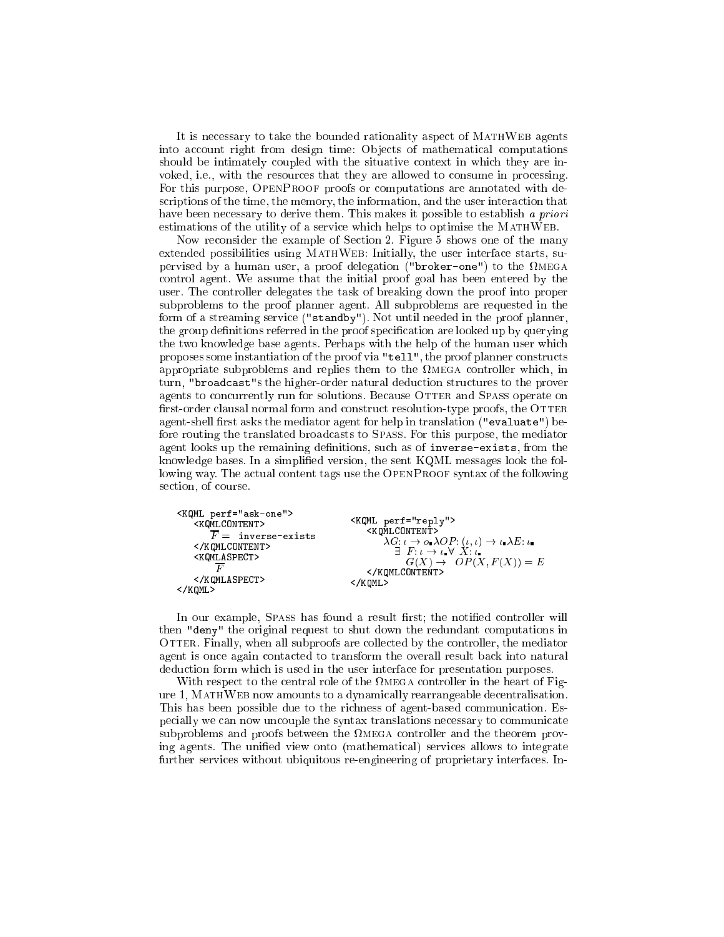It is ne
essary to take the bounded rationality aspe
t of MathWeb agents into account right from design time: Objects of mathematical computations should be intimately coupled with the situative context in which they are invoked, i.e., with the resources that they are allowed to consume in processing. For this purpose, OPENPROOF proofs or computations are annotated with descriptions of the time, the memory, the information, and the user interaction that have been necessary to derive them. This makes it possible to establish a priori estimations of the utility of a service which helps to optimise the MATHWEB.

Now re
onsider the example of Se
tion 2. Figure 5 shows one of the many extended possibilities using MATHWEB: Initially, the user interface starts, supervised by a human user, a proof delegation ("broker-one") to the mega ontrol agent. We assume that the initial proof goal has been entered by the user. The ontroller delegates the task of breaking down the proof into proper subproblems to the proof planner agent. All subproblems are requested in the form of a streaming service ("standby"). Not until needed in the proof planner, the group definitions referred in the proof specification are looked up by querying the two knowledge base agents. Perhaps with the help of the human user whi
h proposes some instantiation of the proof via "tell", the proof planner constructs appropriate subproblems and replies them to the mega ontroller whi
h, in turn, "broad
ast"s the higher-order natural dedu
tion stru
tures to the prover agents to concurrently run for solutions. Because OTTER and SPASS operate on first-order clausal normal form and construct resolution-type proofs, the OTTER agent-shell first asks the mediator agent for help in translation ("evaluate") before routing the translated broadcasts to SPASS. For this purpose, the mediator agent looks up the remaining definitions, such as of inverse-exists, from the knowledge bases. In a simplied version, the sent KQML messages look the following way. The actual content tags use the OPENPROOF syntax of the following section, of course.

```
<KQML perf="ask-one">
                                                         <KQML perf="reply">
     <KQMLCONTENT>
                                                              <KQMLCONTENT>
         \overline{F} = inverse-exists
                                                                    \lambda G: \iota \to o \cdot \lambda OP: (\iota, \iota) \to \iota \cdot \lambda E: \iota</KQMLCONTENT>
     <KQMLASPECT>
                                                                        <u>- - . . . . . . . .</u>
            \overline{F}G(X) = P (X) = C(X) = E (X) = E (X) = E (X) = E (X) = E (X) = E (X) = E (X) = E (X) = E (X) = E (X) = E (X) = 
                                                               </KQMLCONTENT>
                                                         </KQML>
     </KQMLASPECT>
</KQML>
```
In our example, SPASS has found a result first; the notified controller will then "deny" the original request to shut down the redundant omputations in OTTER. Finally, when all subproofs are collected by the controller, the mediator agent is on
e again onta
ted to transform the overall result ba
k into natural deduction form which is used in the user interface for presentation purposes.

with respect to the topical role of the second city the first in the figure  $\pi$ ure 1, MATHWEB now amounts to a dynamically rearrangeable decentralisation. This has been possible due to the richness of agent-based communication. Especially we can now uncouple the syntax translations necessary to communicate subproblems and proofs between the mega ontroller and the theorem proving agents. The unified view onto (mathematical) services allows to integrate further services without ubiquitous re-engineering of proprietary interfaces. In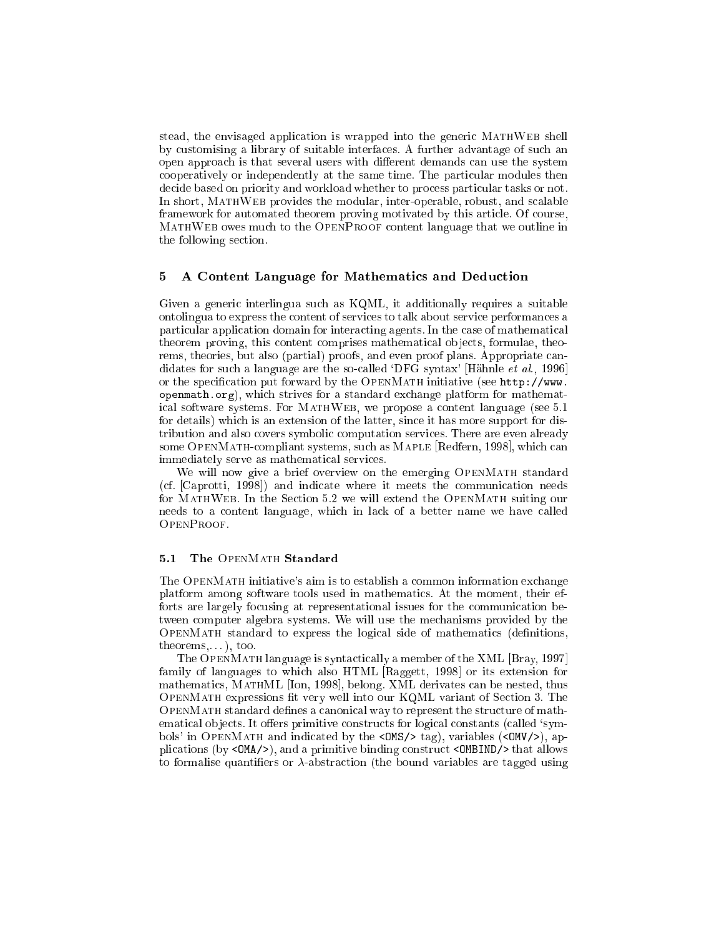stead, the envisaged application is wrapped into the generic MATHWEB shell by ustomising a library of suitable interfa
es. A further advantage of su
h an open approach is that several users with different demands can use the system cooperatively or independently at the same time. The particular modules then decide based on priority and workload whether to process particular tasks or not. In short, MATHWEB provides the modular, inter-operable, robust, and scalable framework for automated theorem proving motivated by this article. Of course, MathWeb owes mu
h to the OpenProof ontent language that we outline in the following se
tion.

#### A Content Language for Mathematics and Deduction  $\mathbf{5}$

Given a generic interlingua such as KQML, it additionally requires a suitable ontolingua to express the content of services to talk about service performances a particular application domain for interacting agents. In the case of mathematical theorem proving, this content comprises mathematical objects, formulae, theorems, theories, but also (partial) proofs, and even proof plans. Appropriate candidates for such a language are the so-called 'DFG syntax' [Hähnle et al., 1996] or the specification put forward by the OPENMATH initiative (see http://www. openmath.org), whi
h strives for a standard ex
hange platform for mathematical software systems. For MATHWEB, we propose a content language (see 5.1) for details) whi
h is an extension of the latter, sin
e it has more support for distribution and also covers symbolic computation services. There are even already some OPENMATH-compliant systems, such as MAPLE [Redfern, 1998], which can immediately serve as mathemati
al servi
es.

We will now give a brief overview on the emerging OPENMATH standard (cf. [Caprotti, 1998]) and indicate where it meets the communication needs for MATHWEB. In the Section 5.2 we will extend the OPENMATH suiting our needs to a ontent language, whi
h in la
k of a better name we have alled OpenProof.

#### 5.1 The OPENMATH Standard

The OpenMath initiative's aim is to establish a ommon information ex
hange platform among software tools used in mathemati
s. At the moment, their efforts are largely focusing at representational issues for the communication between omputer algebra systems. We will use the me
hanisms provided by the of mathematic standard to express the logical state of mathematic (decreasing) theorems,. . . ), too.

The OPENMATH language is syntactically a member of the XML [Bray, 1997] family of languages to which also HTML  $[{\rm Raggett}, 1998]$  or its extension for mathematics, MATHML [Ion, 1998], belong. XML derivates can be nested, thus OpenMath expressions t very well into our KQML variant of Se
tion 3. The open mathematical description of the structure  $\mathcal{L}_{\mathcal{A}}$  is the structure of mathematical department. ematical objects. It offers primitive constructs for logical constants (called 'symbols' in OPENMATH and indicated by the <0MS/> tag), variables (<0MV/>, applications (by  $\langle OMA/ \rangle$ ), and a primitive binding construct  $\langle OMBIND \rangle$  that allows to formalise quantifiers or  $\lambda$ -abstraction (the bound variables are tagged using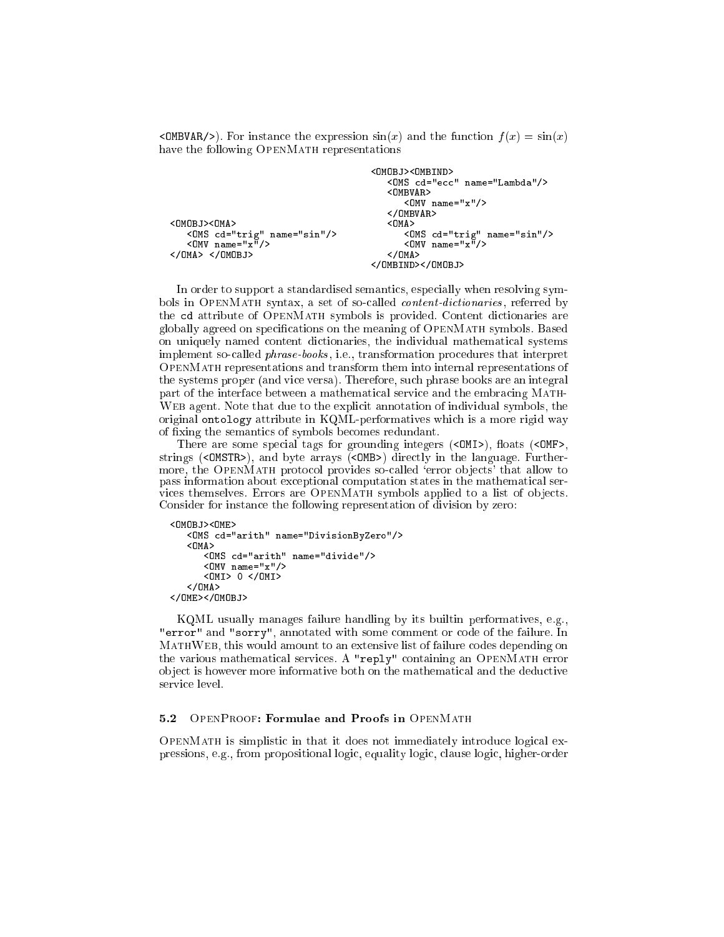<OMBVAR/>). For instance the expression  $sin(x)$  and the function  $f(x) = sin(x)$ have the following OPENMATH representations

```
<OMS 
d="e

" name="Lambda"/>
                                    <OMBVAR>
                                    <OMV name="x"/>
                                    </OMBVAR>
                                       <OMS 
d="trig" name="sin"/> <OMS 
d="trig" name="sin"/>
  <OMV name="x"/> <OMV name="x"/>
</OMA> </OMOBJ> </OMA>
                                 </OMBIND></OMOBJ>
```
In order to support a standardised semantics, especially when resolving symbols in OPENMATH syntax, a set of so-called *content-dictionaries*, referred by the d attribute of OpenMath symbols is provided. Content di
tionaries are globally agreed on specifications on the meaning of OPENMATH symbols. Based on uniquely named content dictionaries, the individual mathematical systems implement so-called *phrase-books*, i.e., transformation procedures that interpret OpenMath representations and transform them into internal representations of the systems proper (and vi
e versa). Therefore, su
h phrase books are an integral part of the interface between a mathematical service and the embracing MATH-Web agent. Note that due to the expli
it annotation of individual symbols, the original ontology attribute in KQML-performatives whi
h is a more rigid way of xing the semanti
s of symbols be
omes redundant.

There are some special tags for grounding integers (<0MI>), floats (<0MF>, strings (<OMSTR>), and byte arrays (<OMB>) directly in the language. Furthermore, the OPENMATH protocol provides so-called 'error objects' that allow to pass information about ex
eptional omputation states in the mathemati
al services themselves. Errors are OPENMATH symbols applied to a list of objects. Consider for instan
e the following representation of division by zero:

```
<0M0BJ><0ME>
       d="arithm" name="DivisionByZero", "DivisionByZero", "DivisionByZero", "DivisionByZero", "DivisionByZero", "DivisionByZero", "DivisionByZero", "DivisionByZero", "DivisionByZero", "DivisionByZero", "DivisionByZero", "Divisio
       < OMA><OMS 
d="arith" name="divide"/>
              <OMV name="x"/>
              <OMI> 0 </OMI>
       </OMA>
</OME></OMOBJ>
```
KQML usually manages failure handling by its builtin performatives, e.g., "error" and "sorry", annotated with some comment or code of the failure. In MATHWEB, this would amount to an extensive list of failure codes depending on the various mathemati
al servi
es. A "reply" ontaining an OpenMath error object is however more informative both on the mathematical and the deductive service level.

or mathematic is simplicated in the it does not immediately immediately in  $\alpha$ pressions, e.g., from propositional logic, equality logic, clause logic, higher-order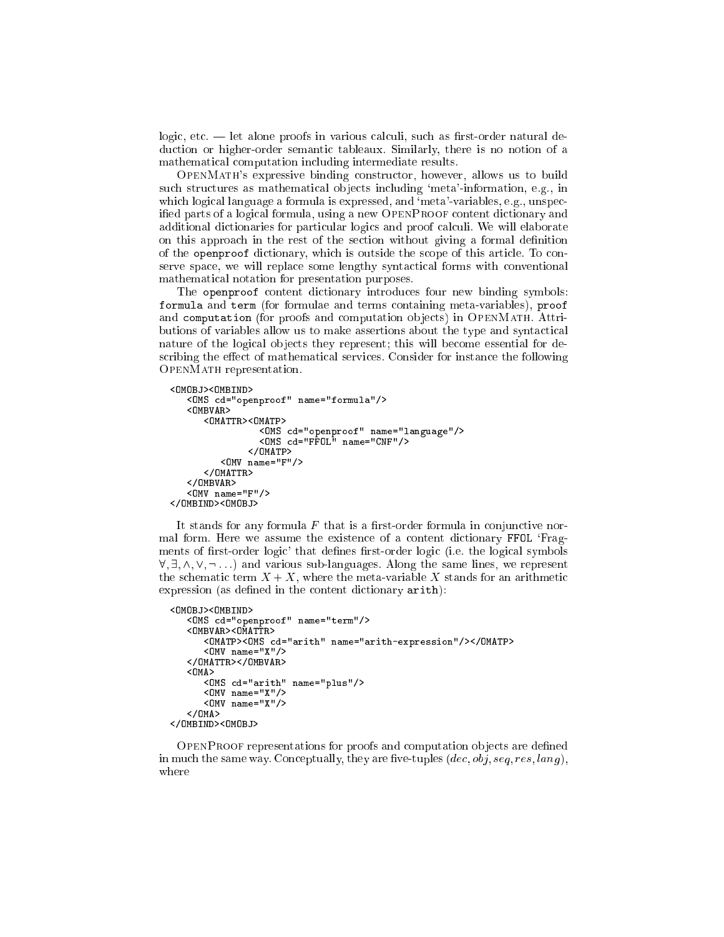logic, etc. — let alone proofs in various calculi, such as first-order natural dedu
tion or higher-order semanti tableaux. Similarly, there is no notion of a mathemati
al omputation in
luding intermediate results.

OpenMath's expressive binding onstru
tor, however, allows us to build such structures as mathematical objects including 'meta'-information, e.g., in which logical language a formula is expressed, and 'meta'-variables, e.g., unspecified parts of a logical formula, using a new OPENPROOF content dictionary and additional dictionaries for particular logics and proof calculi. We will elaborate on this approa
h in the rest of the se
tion without giving a formal denition of the openproof dictionary, which is outside the scope of this article. To conserve space, we will replace some lengthy syntactical forms with conventional mathemati
al notation for presentation purposes.

The openproof content dictionary introduces four new binding symbols: formula and term (for formulae and terms ontaining meta-variables), proof and computation (for proofs and computation objects) in OPENMATH. Attributions of variables allow us to make assertions about the type and syntactical nature of the logical objects they represent; this will become essential for describing the effect of mathematical services. Consider for instance the following OpenMath representation.

```
<OMOBJ><OMBIND>
       <OMS 
d="openproof" name="formula"/>
       < \cap MRV AR ><OMATTR><OMATP>
                                         som is interpretted and analysis of
                                         diameter is the compact of the contract of the contract of the contract of the contract of the contract of the
                                   </OMATP>
               <OMV name="F"/></OMATTR>
               ww.communication.com
        <OMV name="F"/>
        Particularly and the contract of the contract of the contract of the contract of the contract of the contract of the contract of the contract of the contract of the contract of the contract of the contract of the contract
</OMBIND><OMOBJ>
```
It stands for any formula  $F$  that is a first-order formula in conjunctive normal form. Here we assume the existence of a content dictionary FFOL 'Fragments of first-order logic' that defines first-order logic (i.e. the logical symbols  $\forall, \exists, \wedge, \vee, \neg \dots$  and various sub-languages. Along the same lines, we represent the schematic term  $X + X$ , where the meta-variable X stands for an arithmetic  $expression$  (as defined in the content dictionary  $arith$ ):

```
<OMOBJ><OMBIND>
   <OMS 
d="openproof" name="term"/>
   <OMBVAR><OMATTR>
      denotes the complex \blacksquare are denoted by the complex \blacksquare\blacksquare</OMATTR></OMBVAR>
   <OMA>
      <OMS 
d="arith" name="plus"/>
      <OMV name="X"/>
      <OMV name="X"/>
   </OMA>
</OMBIND><OMOBJ>
```
of are defined and produced and process and computations and management in much the same way. Conceptually, they are five-tuples  $(dec, obj, seq, res, lang)$ , where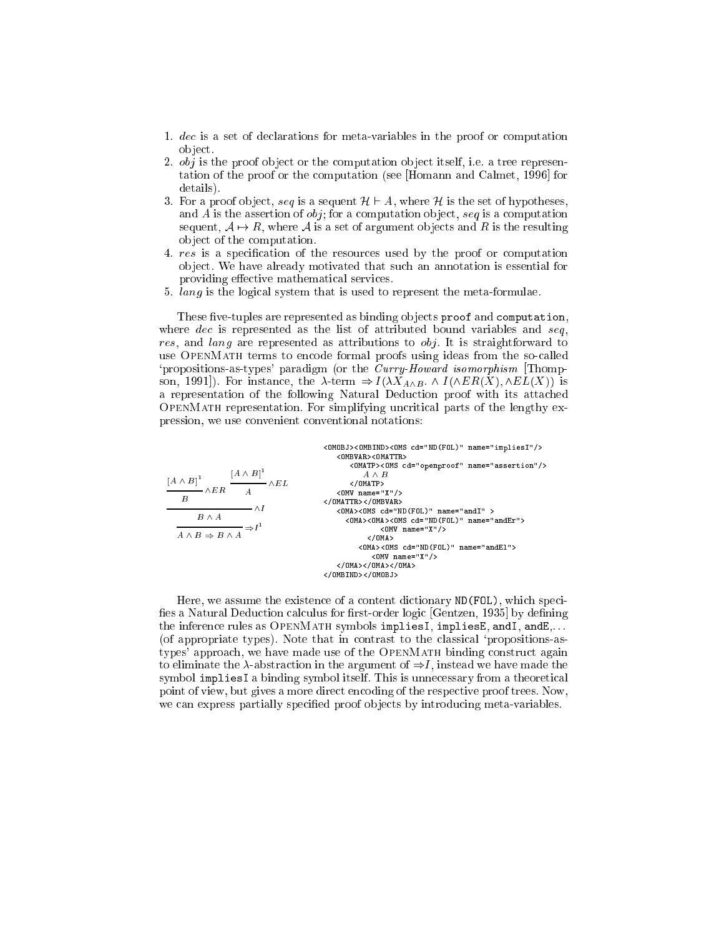- 1. dec is a set of declarations for meta-variables in the proof or computation object.
- 2.  $obj$  is the proof object or the computation object itself, i.e. a tree representation of the proof or the computation (see [Homann and Calmet, 1996] for details).
- 3. For a proof object, seq is a sequent  $\mathcal{H} \vdash A$ , where  $\mathcal{H}$  is the set of hypotheses, and A is the assertion of  $obj$ ; for a computation object, seq is a computation sequent,  $A \mapsto R$ , where A is a set of argument objects and R is the resulting object of the computation.
- 4. res is a specification of the resources used by the proof or computation object. We have already motivated that such an annotation is essential for providing effective mathematical services.
- 5. lang is the logical system that is used to represent the meta-formulae.

These five-tuples are represented as binding objects proof and computation, where  $dec$  is represented as the list of attributed bound variables and seq. res, and lang are represented as attributions to obj. It is straightforward to use OPENMATH terms to encode formal proofs using ideas from the so-called 'propositions-as-types' paradigm (or the *Curry-Howard isomorphism* [Thompson, 1991]). For instance, the  $\lambda$ -term  $\Rightarrow I(\lambda X_{A \wedge B} \wedge I(\wedge ER(X), \wedge EL(X))$  is a representation of the following Natural Deduction proof with its attached OPENMATH representation. For simplifying uncritical parts of the lengthy expression, we use convenient conventional notations:

| <omobj><ombind><oms cd="ND(FOL)" name="impliesI"></oms><br/><ombvar><omattr></omattr></ombvar></ombind></omobj> |
|-----------------------------------------------------------------------------------------------------------------|
| <omatp><oms cd="openproof" name="assertion"></oms><br/><math>A \wedge B</math></omatp>                          |
| $<$ /OMATP>                                                                                                     |
| $\langle$ OMV name="X"/>                                                                                        |
|                                                                                                                 |
| <0MA><0MS cd="ND(FOL)" name="andI" >                                                                            |
| <0MA><0MA><0MS cd="ND(FOL)" name="andEr">                                                                       |
| $\langle$ OMV name="X"/>                                                                                        |
| $<$ /OMA $>$                                                                                                    |
| <0MA><0MS cd="ND(FOL)" name="andEl">                                                                            |
| $\langle$ OMV name="X"/>                                                                                        |
|                                                                                                                 |
|                                                                                                                 |
|                                                                                                                 |

Here, we assume the existence of a content dictionary ND (FOL), which specifies a Natural Deduction calculus for first-order logic [Gentzen, 1935] by defining the inference rules as OPENMATH symbols impliesI, impliesE, andI, andE,... (of appropriate types). Note that in contrast to the classical 'propositions-astypes' approach, we have made use of the OPENMATH binding construct again to eliminate the  $\lambda$ -abstraction in the argument of  $\Rightarrow I$ , instead we have made the symbol impliesI a binding symbol itself. This is unnecessary from a theoretical point of view, but gives a more direct encoding of the respective proof trees. Now, we can express partially specified proof objects by introducing meta-variables.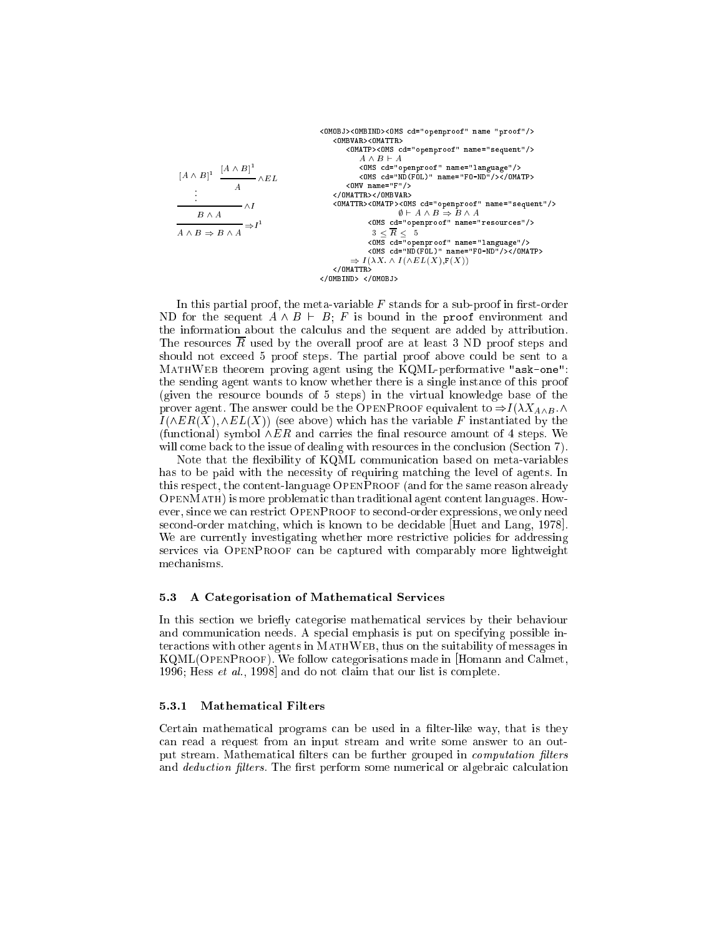$$
\begin{array}{c|c} \texttt{COMB J} & \texttt{COMB J} & \texttt{COMB J} & \texttt{COMB J} & \texttt{COMB J} & \texttt{OMB J} & \texttt{OMB J} & \texttt{OMB J} & \texttt{OMB J} & \texttt{OMB J} & \texttt{OMB J} & \texttt{OMB J} & \texttt{OMB J} & \texttt{OMB J} & \texttt{OMB J} & \texttt{OMB J} & \texttt{OMB J} & \texttt{OMB J} & \texttt{OMB J} & \texttt{OMB J} & \texttt{OMB J} & \texttt{OMB J} & \texttt{OMB J} & \texttt{OMB J} & \texttt{OMB J} & \texttt{OMB J} & \texttt{OMB J} & \texttt{OMB J} & \texttt{OMB J} & \texttt{OMB J} & \texttt{OMB J} & \texttt{OMB J} & \texttt{OMB J} & \texttt{OMB J} & \texttt{OMB J} & \texttt{OMB J} & \texttt{OMB J} & \texttt{OMB J} & \texttt{OMB J} & \texttt{OMB J} & \texttt{OMB J} & \texttt{OMB J} & \texttt{OMB J} & \texttt{OMB J} & \texttt{OMB J} & \texttt{OMB J} & \texttt{OMB J} & \texttt{OMB J} & \texttt{OMB J} & \texttt{OMB J} & \texttt{OMB J} & \texttt{OMB J} & \texttt{OMB J} & \texttt{OMB J} & \texttt{OMB J} & \texttt{OMB J} & \texttt{OMB J} & \texttt{OMB J} & \texttt{OMB J} & \texttt{OMB J} & \texttt{OMB J} & \texttt{OMB J} & \texttt{OMB J} & \texttt{OMB J} & \texttt{OMB J} & \texttt{OMB J} & \texttt{OMB J} & \texttt{OMB J} & \texttt{OMB J} & \texttt{OMB J} & \texttt{OMB J} & \texttt{OMB J} & \texttt{OMB J} & \texttt{OMB J} & \texttt{OMB J} & \texttt{OMB J} & \texttt{OMB J} & \texttt{OMB J} & \texttt{OMB J} & \texttt{OMB J} & \texttt{OMB J} & \texttt{OMB J} & \texttt{OMB J} & \texttt{
$$

In this partial proof, the meta-variable  $F$  stands for a sub-proof in first-order ND for the sequent  $A \wedge B \vdash B$ ; F is bound in the proof environment and the information about the calculus and the sequent are added by attribution. The resources  $\overline{R}$  used by the overall proof are at least 3 ND proof steps and should not exceed 5 proof steps. The partial proof above could be sent to a  $\mathcal{M}$  . The theorem proving agent using the KQML-performative "ask-one": the sending agent wants to know whether there is a single instan
e of this proof (given the resour
e bounds of 5 steps) in the virtual knowledge base of the prover agent. The answer could be the OPENPROOF equivalent to  $\Rightarrow I(\lambda X_{A\wedge B}.\wedge$  $I(\wedge ER(X), \wedge EL(X))$  (see above) which has the variable F instantiated by the (functional) symbol  $\wedge ER$  and carries the final resource amount of 4 steps. We will come back to the issue of dealing with resources in the conclusion (Section 7).

Note that the flexibility of KQML communication based on meta-variables has to be paid with the necessity of requiring matching the level of agents. In this respect, the content-language OPENPROOF (and for the same reason already OpenMath) is more problemati than traditional agent ontent languages. However, since we can restrict OPENPROOF to second-order expressions, we only need second-order matching, which is known to be decidable Huet and Lang, 1978. We are currently investigating whether more restrictive policies for addressing services via OPENPROOF can be captured with comparably more lightweight me
hanisms.

## 5.3 A Categorisation of Mathemati
al Servi
es

In this section we briefly categorise mathematical services by their behaviour and communication needs. A special emphasis is put on specifying possible intera
tions with other agents in MathWeb, thus on the suitability of messages in KQML(OpenProof). We follow ategorisations made in [Homann and Calmet, 1996; Hess et al., 1998] and do not claim that our list is complete.

#### 5.3.1 Mathematical Filters

Certain mathematical programs can be used in a filter-like way, that is they an read a request from an input stream and write some answer to an output stream. Mathematical filters can be further grouped in *computation filters* and *deduction filters*. The first perform some numerical or algebraic calculation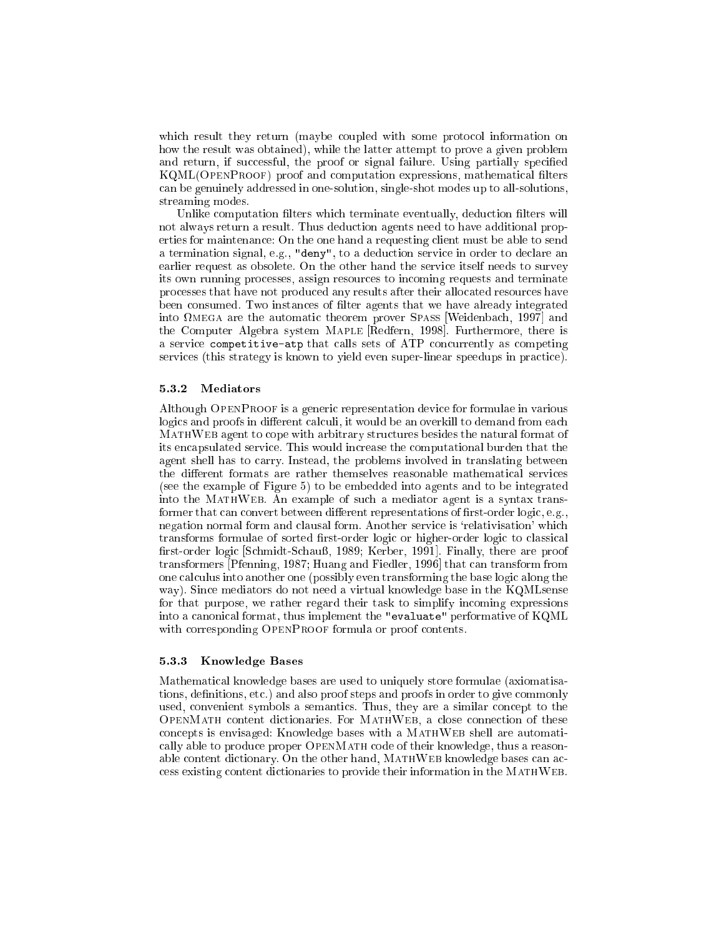which result they return (maybe coupled with some protocol information on how the result was obtained), while the latter attempt to prove a given problem and return, if successful, the proof or signal failure. Using partially specified KQML(OPENPROOF) proof and computation expressions, mathematical filters an be genuinely addressed in one-solution, single-shot modes up to all-solutions, streaming modes.

Unlike computation filters which terminate eventually, deduction filters will not always return a result. Thus dedu
tion agents need to have additional properties for maintenan
e: On the one hand a requesting lient must be able to send a termination signal, e.g., "deny", to a deduction service in order to declare an earlier request as obsolete. On the other hand the service itself needs to survey its own running pro
esses, assign resour
es to in
oming requests and terminate pro
esses that have not produ
ed any results after their allo
ated resour
es have been consumed. Two instances of filter agents that we have already integrated into transfer one and advolutedly choolem prover prince producinosch, 2007 and the Computer Algebra system MAPLE [Redfern, 1998]. Furthermore, there is a service competitive-atp that calls sets of ATP concurrently as competing services (this strategy is known to yield even super-linear speedups in practice).

## 5.3.2 Mediators

Although OPENPROOF is a generic representation device for formulae in various logics and proofs in different calculi, it would be an overkill to demand from each MathWeb agent to ope with arbitrary stru
tures besides the natural format of its en
apsulated servi
e. This would in
rease the omputational burden that the agent shell has to carry. Instead, the problems involved in translating between the different formats are rather themselves reasonable mathematical services (see the example of Figure 5) to be embedded into agents and to be integrated into the MathWeb. An example of su
h a mediator agent is a syntax transformer that can convert between different representations of first-order logic, e.g., negation normal form and clausal form. Another service is 'relativisation' which transforms formulae of sorted first-order logic or higher-order logic to classical first-order logic [Schmidt-Schauß, 1989; Kerber, 1991]. Finally, there are proof transformers [Pfenning, 1987; Huang and Fiedler, 1996] that can transform from one calculus into another one (possibly even transforming the base logic along the way). Sin
e mediators do not need a virtual knowledge base in the KQMLsense for that purpose, we rather regard their task to simplify in
oming expressions into a canonical format, thus implement the "evaluate" performative of KQML with corresponding OPENPROOF formula or proof contents.

#### 5.3.3 Knowledge Bases

Mathemati
al knowledge bases are used to uniquely store formulae (axiomatisations, definitions, etc.) and also proof steps and proofs in order to give commonly used, convenient symbols a semantics. Thus, they are a similar concept to the OpenMath ontent di
tionaries. For MathWeb, a lose onne
tion of these on
epts is envisaged: Knowledge bases with a MathWeb shell are automati cally able to produce proper OPENMATH code of their knowledge, thus a reasonable content dictionary. On the other hand, MATHWEB knowledge bases can acess existing ontent di
tionaries to provide their information in the MathWeb.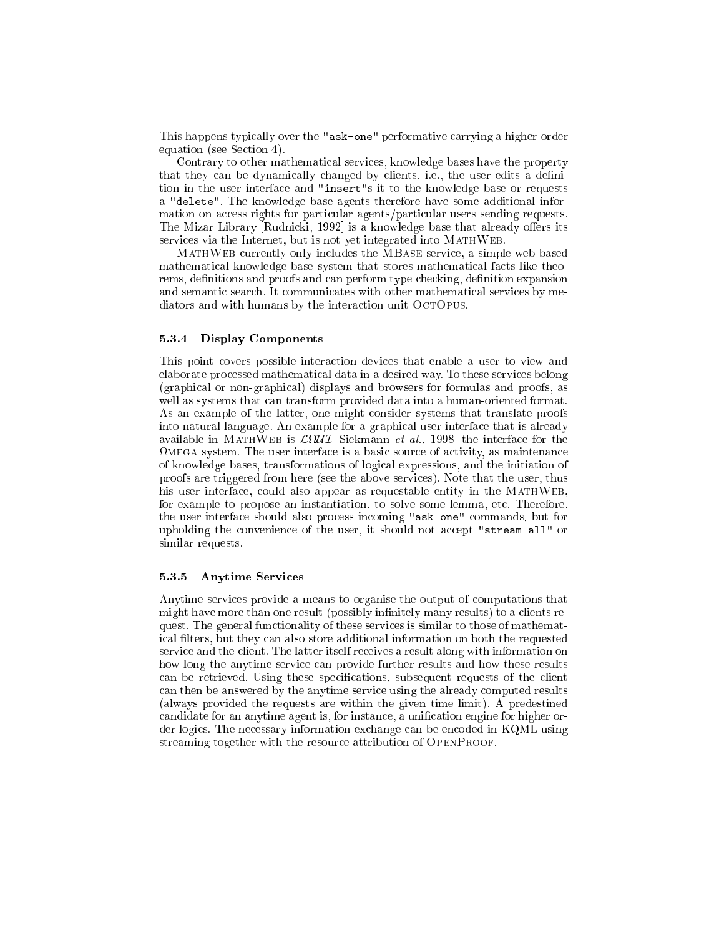This happens typically over the "ask-one" performative carrying a higher-order equation (see Section 4).

Contrary to other mathematical services, knowledge bases have the property that they can be dynamically changed by clients, i.e., the user edits a definition in the user interfa
e and "insert"s it to the knowledge base or requests a "delete". The knowledge base agents therefore have some additional information on access rights for particular agents/particular users sending requests. The Mizar Library Rudnicki, 1992 is a knowledge base that already offers its services via the Internet, but is not yet integrated into MATHWEB.

MathWeb urrently only in
ludes the MBase servi
e, a simple web-based mathematical knowledge base system that stores mathematical facts like theorems, definitions and proofs and can perform type checking, definition expansion and semantic search. It communicates with other mathematical services by mediators and with humans by the interaction unit OCTOPUS.

## 5.3.4 Display Components

This point overs possible intera
tion devi
es that enable a user to view and elaborate pro
essed mathemati
al data in a desired way. To these servi
es belong (graphi
al or non-graphi
al) displays and browsers for formulas and proofs, as well as systems that can transform provided data into a human-oriented format. As an example of the latter, one might consider systems that translate proofs into natural language. An example for a graphical user interface that is already  $\alpha$  and  $\alpha$  is a formulation is  $\beta$  interfaced to the interface for the interface to the interface of  $\alpha$ e is a basic system. The user interfaces in the user is a basic of a basic of  $\mu$  and the context of a of knowledge bases, transformations of logi
al expressions, and the initiation of proofs are triggered from here (see the above servi
es). Note that the user, thus his user interface, could also appear as requestable entity in the MATHWEB, for example to propose an instantiation, to solve some lemma, et
. Therefore, the user interface should also process incoming "ask-one" commands, but for upholding the convenience of the user, it should not accept "stream-all" or similar requests.

### 5.3.5 Anytime Servi
es

Anytime servi
es provide a means to organise the output of omputations that might have more than one result (possibly infinitely many results) to a clients request. The general functionality of these services is similar to those of mathematical filters, but they can also store additional information on both the requested service and the client. The latter itself receives a result along with information on how long the anytime service can provide further results and how these results can be retrieved. Using these specifications, subsequent requests of the client an then be answered by the anytime servi
e using the already omputed results (always provided the requests are within the given time limit). A predestined candidate for an anytime agent is, for instance, a unification engine for higher order logics. The necessary information exchange can be encoded in KQML using streaming together with the resource attribution of OPENPROOF.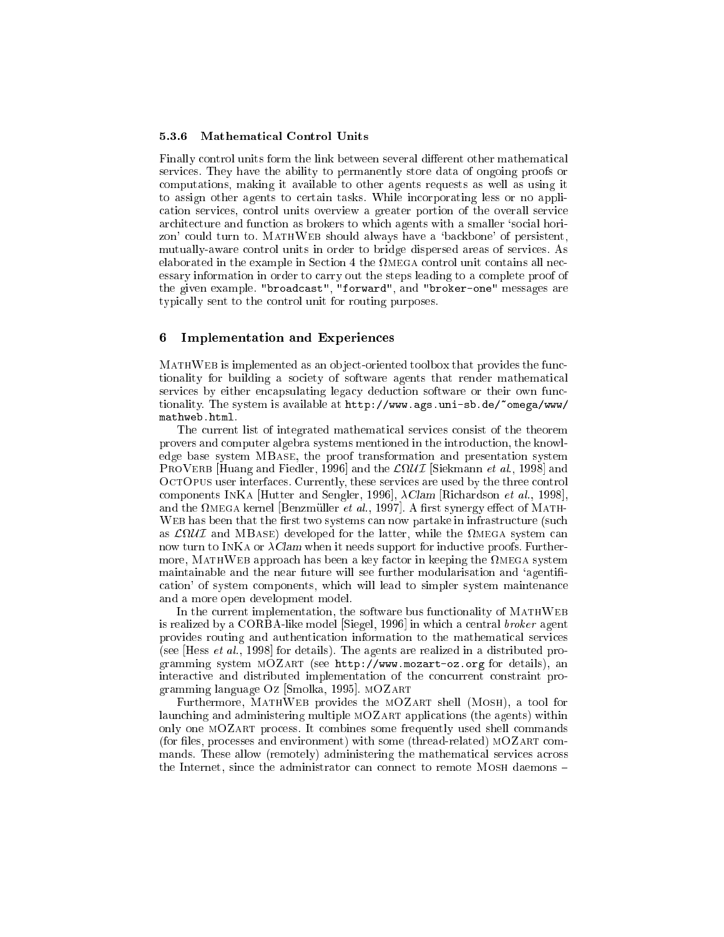#### $5.3.6$ **Mathematical Control Units**

Finally control units form the link between several different other mathematical services. They have the ability to permanently store data of ongoing proofs or computations, making it available to other agents requests as well as using it to assign other agents to certain tasks. While incorporating less or no application services, control units overview a greater portion of the overall service architecture and function as brokers to which agents with a smaller 'social horizon' could turn to. MATHWEB should always have a 'backbone' of persistent, mutually-aware control units in order to bridge dispersed areas of services. As elaborated in the example in Section 4 the  $\Omega$ MEGA control unit contains all necessary information in order to carry out the steps leading to a complete proof of the given example. "broadcast", "forward", and "broker-one" messages are typically sent to the control unit for routing purposes.

#### **Implementation and Experiences** 6

MATHWEB is implemented as an object-oriented toolbox that provides the functionality for building a society of software agents that render mathematical services by either encapsulating legacy deduction software or their own functionality. The system is available at http://www.ags.uni-sb.de/~omega/www/ mathweb.html.

The current list of integrated mathematical services consist of the theorem provers and computer algebra systems mentioned in the introduction, the knowledge base system MBASE, the proof transformation and presentation system PROVERB [Huang and Fiedler, 1996] and the  $\mathcal{L}\Omega\mathcal{U}\mathcal{I}$  [Siekmann et al., 1998] and OCTOPUS user interfaces. Currently, these services are used by the three control components INKA [Hutter and Sengler, 1996],  $\lambda$ Clam [Richardson et al., 1998], and the  $\Omega$ MEGA kernel [Benzmüller *et al.*, 1997]. A first synergy effect of MATH-WEB has been that the first two systems can now partake in infrastructure (such as  $\mathcal{L} \Omega \mathcal{U} \mathcal{I}$  and MBASE) developed for the latter, while the  $\Omega$ MEGA system can now turn to INKA or  $\lambda$ Clam when it needs support for inductive proofs. Furthermore, MATHWEB approach has been a key factor in keeping the  $\Omega$ MEGA system maintainable and the near future will see further modularisation and 'agentification' of system components, which will lead to simpler system maintenance and a more open development model.

In the current implementation, the software bus functionality of MATHWEB is realized by a CORBA-like model [Siegel, 1996] in which a central *broker* agent provides routing and authentication information to the mathematical services (see [Hess et al., 1998] for details). The agents are realized in a distributed programming system MOZART (see http://www.mozart-oz.org for details), an interactive and distributed implementation of the concurrent constraint programming language Oz [Smolka, 1995].  $MOZART$ 

Furthermore, MATHWEB provides the MOZART shell (MOSH), a tool for launching and administering multiple MOZART applications (the agents) within only one MOZART process. It combines some frequently used shell commands (for files, processes and environment) with some (thread-related) MOZART commands. These allow (remotely) administering the mathematical services across the Internet, since the administrator can connect to remote MOSH daemons -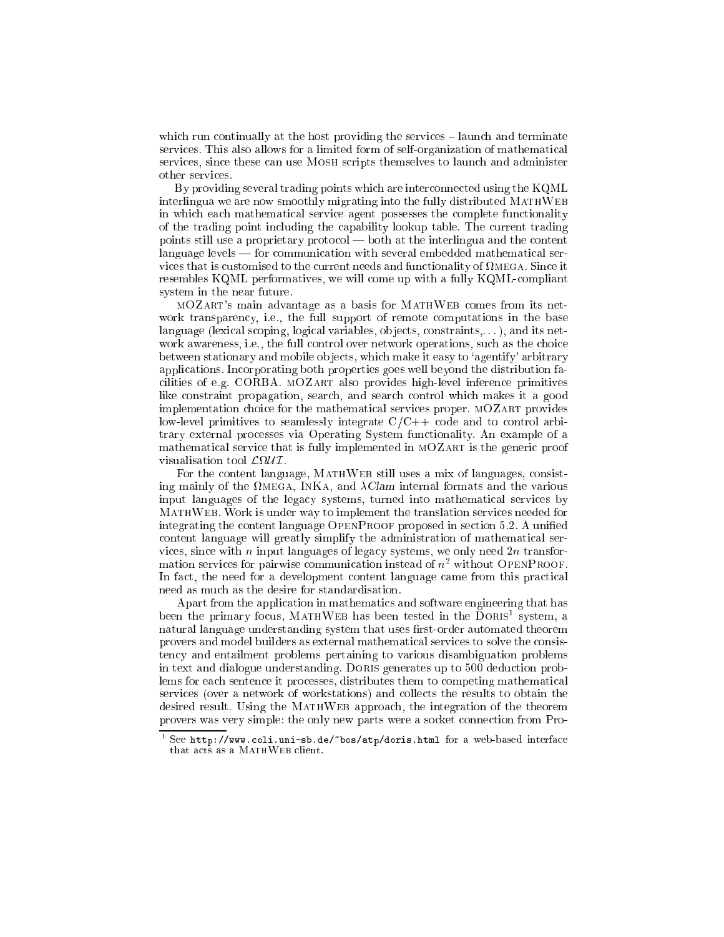which run continually at the host providing the services – launch and terminate services. This also allows for a limited form of self-organization of mathematical services, since these can use MOSH scripts themselves to launch and administer other servi
es.

By providing several trading points which are interconnected using the KQML interlingua we are now smoothly migrating into the fully distributed MATHWEB in which each mathematical service agent possesses the complete functionality of the trading point in
luding the apability lookup table. The urrent trading points still use a proprietary protocol — both at the interlingua and the content language levels – for communication with several embedded mathematical servi
es that is ustomised to the urrent needs and fun
tionality of mega. Sin
e it resembles KQML performatives, we will ome up with a fully KQMLompliant system in the near future.

mOZart's main advantage as a basis for MathWeb omes from its network transparency, i.e., the full support of remote computations in the base language (lexical scoping, logical variables, objects, constraints,...), and its network awareness, i.e., the full control over network operations, such as the choice between stationary and mobile objects, which make it easy to 'agentify' arbitrary appli
ations. In
orporating both properties goes well beyond the distribution fa cilities of e.g. CORBA. MOZART also provides high-level inference primitives like onstraint propagation, sear
h, and sear
h ontrol whi
h makes it a good implementation choice for the mathematical services proper. MOZART provides low-level primitives to seamlessly integrate  $C/C++$  code and to control arbitrary external pro
esses via Operating System fun
tionality. An example of a mathematical service that is fully implemented in MOZART is the generic proof

For the content language, MATHWEB still uses a mix of languages, consisting mainly of the  $\Omega_{\text{MEGA}}$ , INKA, and  $\lambda \text{Clam}$  internal formats and the various input languages of the legacy systems, turned into mathematical services by MathWeb. Work is under way to implement the translation servi
es needed for integrating the content language OPENPROOF proposed in section 5.2. A unified ontent language will greatly simplify the administration of mathemati
al services, since with  $n$  input languages of legacy systems, we only need  $2n$  transfor $m$ ation services for pairwise communication instead of  $n^-$  without OpenProof. In fact, the need for a development content language came from this practical need as mu
h as the desire for standardisation.

Apart from the application in mathematics and software engineering that has been the primary focus, MATHWEB has been tested in the DORIST system, a natural language understanding system that uses first-order automated theorem provers and model builders as external mathematical services to solve the consisten
y and entailment problems pertaining to various disambiguation problems in text and dialogue understanding. DORIS generates up to 500 deduction problems for each sentence it processes, distributes them to competing mathematical servi
es (over a network of workstations) and olle
ts the results to obtain the desired result. Using the MATHWEB approach, the integration of the theorem provers was very simple: the only new parts were a socket connection from Pro-

<sup>-</sup>See http://www.coli.uni-sb.de/~bos/atp/doris.html for a web-based interface that acts as a MATHWEB client.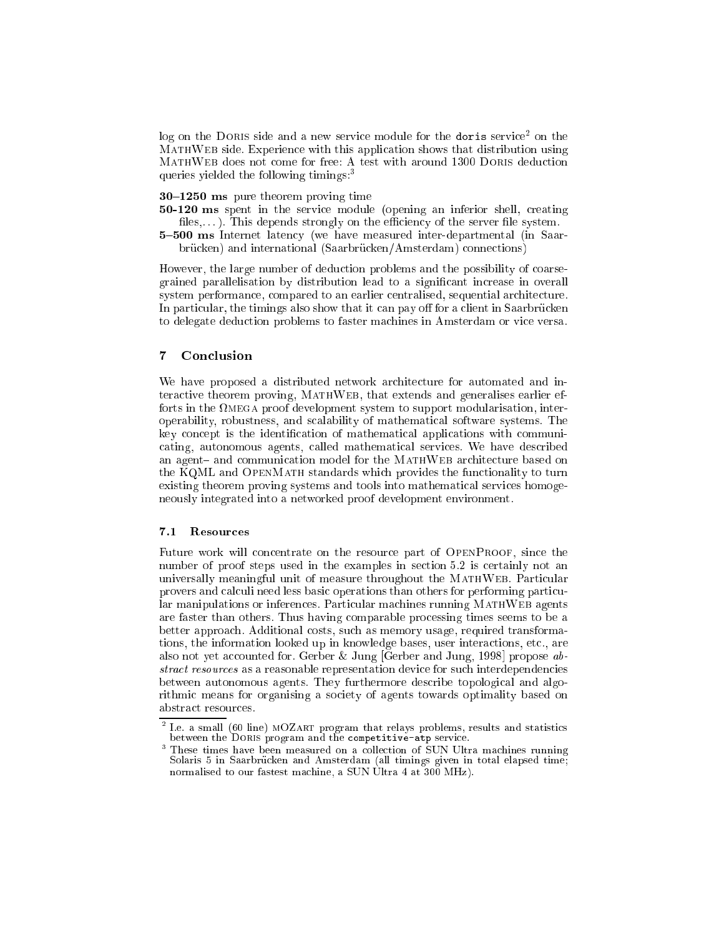log on the Doris side and a new servi
e module for the doris servi
e2 on the e with the shows that the with the shows the partners are considered that the model of the state of the state o queries yielded the following timings:<sup>3</sup>

 $30-1250$  ms pure theorem proving time

50-120 ms spent in the service module (opening an inferior shell, creating files,...). This depends strongly on the efficiency of the server file system.

5-500 ms Internet latency (we have measured inter-departmental (in Saarbrücken) and international (Saarbrücken/Amsterdam) connections)

However, the large number of deduction problems and the possibility of coarsegrained parallelisation by distribution lead to a significant increase in overall system performan
e, ompared to an earlier entralised, sequential ar
hite
ture. In particular, the timings also show that it can pay off for a client in Saarbrücken to delegate dedu
tion problems to faster ma
hines in Amsterdam or vi
e versa.

## $\overline{7}$

We have proposed a distributed network architecture for automated and interactive theorem proving, MATHWEB, that extends and generalises earlier efforts in the mega proof development system to support modularisation, interoperability, robustness, and s
alability of mathemati
al software systems. The key concept is the identification of mathematical applications with communiating, autonomous agents, alled mathemati
al servi
es. We have des
ribed an agent– and communication model for the MATHWEB architecture based on the KQML and OPENMATH standards which provides the functionality to turn existing theorem proving systems and tools into mathematical services homogeneously integrated into a networked proof development environment.

#### $7.1$ Resources

Future work will concentrate on the resource part of OPENPROOF, since the number of proof steps used in the examples in section 5.2 is certainly not an universally meaningful unit of measure throughout the MATHWEB. Particular provers and calculi need less basic operations than others for performing particular manipulations or inferences. Particular machines running MATHWEB agents are faster than others. Thus having omparable pro
essing times seems to be a better approa
h. Additional osts, su
h as memory usage, required transformations, the information looked up in knowledge bases, user interactions, etc., are also not yet accounted for. Gerber & Jung [Gerber and Jung, 1998] propose  $ab$ stract resources as a reasonable representation device for such interdependencies between autonomous agents. They furthermore describe topological and algorithmic means for organising a society of agents towards optimality based on abstra
t resour
es.

I.e. a small (60 line) MOZART program that relays problems, results and statistics between the DORIS program and the competitive-atp service.

<sup>3</sup> These times have been measured on a olle
tion of SUN Ultra ma
hines running Solaris 5 in Saarbrücken and Amsterdam (all timings given in total elapsed time; normalised to our fastest machine, a SUN Ultra 4 at 300 MHz).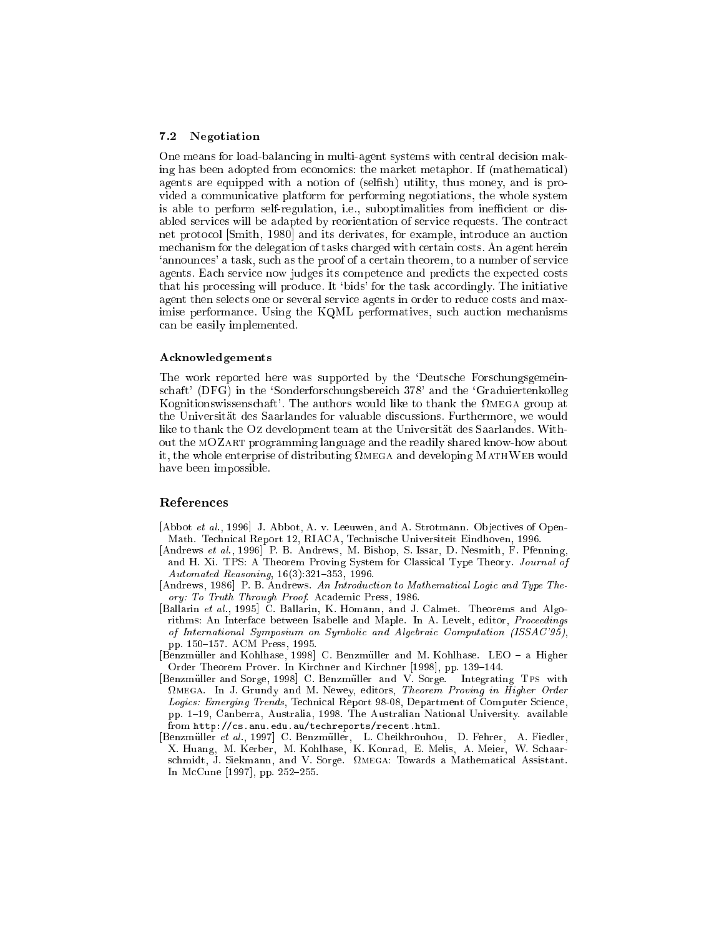#### $7.2$ Negotiation

One means for load-balancing in multi-agent systems with central decision making has been adopted from economics: the market metaphor. If (mathematical) agents are equipped with a notion of (selfish) utility, thus money, and is provided a communicative platform for performing negotiations, the whole system is able to perform self-regulation, i.e., suboptimalities from inefficient or disabled services will be adapted by reorientation of service requests. The contract net protocol [Smith, 1980] and its derivates, for example, introduce an auction mechanism for the delegation of tasks charged with certain costs. An agent herein 'announces' a task, such as the proof of a certain theorem, to a number of service agents. Each service now judges its competence and predicts the expected costs that his processing will produce. It 'bids' for the task accordingly. The initiative agent then selects one or several service agents in order to reduce costs and maximise performance. Using the KQML performatives, such auction mechanisms can be easily implemented.

#### Acknowledgements

The work reported here was supported by the 'Deutsche Forschungsgemeinschaft' (DFG) in the 'Sonderforschungsbereich 378' and the 'Graduiertenkolleg Kognitionswissenschaft'. The authors would like to thank the  $\Omega$ MEGA group at the Universität des Saarlandes for valuable discussions. Furthermore, we would like to thank the Oz development team at the Universität des Saarlandes. Without the MOZART programming language and the readily shared know-how about it, the whole enterprise of distributing  $\Omega$ MEGA and developing MATHWEB would have been impossible.

### References

- [Abbot et al., 1996] J. Abbot, A. v. Leeuwen, and A. Strotmann. Objectives of Open-Math. Technical Report 12, RIACA, Technische Universiteit Eindhoven, 1996.
- [Andrews et al., 1996] P. B. Andrews, M. Bishop, S. Issar, D. Nesmith, F. Pfenning, and H. Xi. TPS: A Theorem Proving System for Classical Type Theory. Journal of Automated Reasoning, 16(3):321-353, 1996.
- [Andrews, 1986] P. B. Andrews. An Introduction to Mathematical Logic and Type Theory: To Truth Through Proof. Academic Press, 1986.
- [Ballarin et al., 1995] C. Ballarin, K. Homann, and J. Calmet. Theorems and Algorithms: An Interface between Isabelle and Maple. In A. Levelt, editor, *Proceedings* of International Symposium on Symbolic and Algebraic Computation (ISSAC'95), pp. 150-157. ACM Press, 1995.
- [Benzmüller and Kohlhase, 1998] C. Benzmüller and M. Kohlhase. LEO a Higher Order Theorem Prover. In Kirchner and Kirchner [1998], pp. 139–144.
- [Benzmüller and Sorge, 1998] C. Benzmüller and V. Sorge. Integrating TPS with **OMEGA.** In J. Grundy and M. Newey, editors, Theorem Proving in Higher Order Logics: Emerging Trends, Technical Report 98-08, Department of Computer Science, pp. 1-19, Canberra, Australia, 1998. The Australian National University. available from http://cs.anu.edu.au/techreports/recent.html.
- [Benzmüller et al., 1997] C. Benzmüller, L. Cheikhrouhou, D. Fehrer, A. Fiedler, X. Huang, M. Kerber, M. Kohlhase, K. Konrad, E. Melis, A. Meier, W. Schaarschmidt, J. Siekmann, and V. Sorge. QMEGA: Towards a Mathematical Assistant. In McCune [1997], pp. 252-255.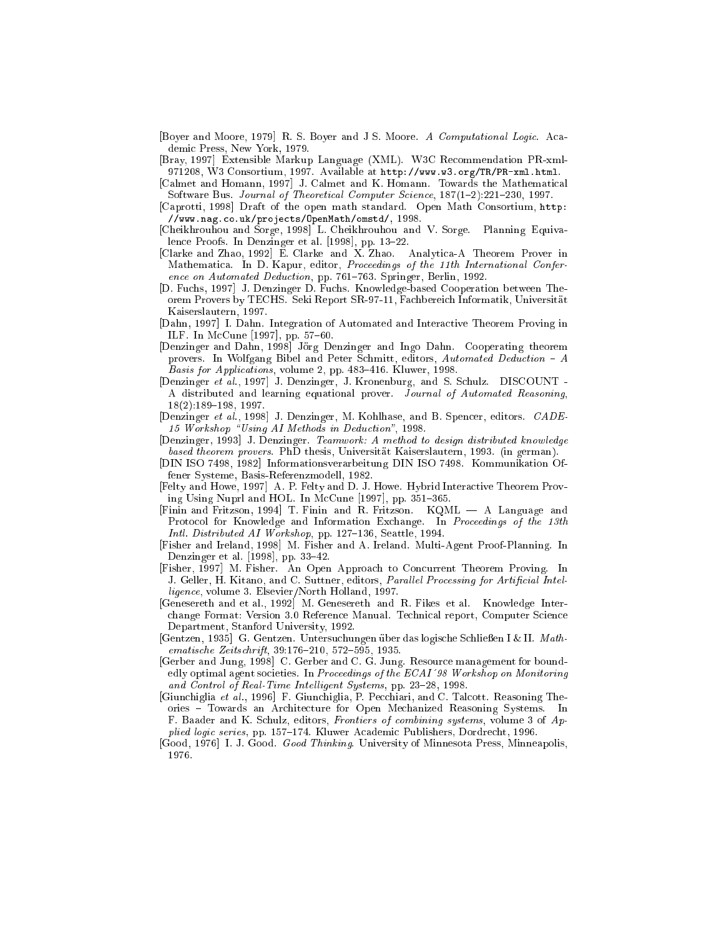[Boyer and Moore, 1979] R. S. Boyer and J S. Moore. A Computational Logic. Academic Press, New York, 1979.

[Bray, 1997] Extensible Markup Language (XML). W3C Recommendation PR-xml-971208, W3 Consortium, 1997. Available at http://www.w3.org/TR/PR-xml.html.

[Calmet and Homann, 1997] J. Calmet and K. Homann. Towards the Mathematical Software Bus. Journal of Theoretical Computer Science, 187(1-2):221-230, 1997.

- [Caprotti, 1998] Draft of the open math standard. Open Math Consortium, http: //www.nag.co.uk/projects/0penMath/omstd/, 1998.
- [Cheikhrouhou and Sorge, 1998] L. Cheikhrouhou and V. Sorge. Planning Equivalence Proofs. In Denzinger et al. [1998], pp. 13-22.
- [Clarke and Zhao, 1992] E. Clarke and X. Zhao. Analytica A Theorem Prover in Mathematica. In D. Kapur, editor, Proceedings of the 11th International Conference on Automated Deduction, pp. 761-763. Springer, Berlin, 1992.
- [D. Fuchs, 1997] J. Denzinger D. Fuchs. Knowledge-based Cooperation between Theorem Provers by TECHS. Seki Report SR-97-11, Fachbereich Informatik, Universität Kaiserslautern, 1997.
- [Dahn, 1997] I. Dahn. Integration of Automated and Interactive Theorem Proving in ILF. In McCune [1997], pp. 57-60.
- [Denzinger and Dahn, 1998] Jörg Denzinger and Ingo Dahn. Cooperating theorem provers. In Wolfgang Bibel and Peter Schmitt, editors, Automated Deduction - A Basis for Applications, volume 2, pp. 483-416. Kluwer, 1998.
- [Denzinger et al., 1997] J. Denzinger, J. Kronenburg, and S. Schulz. DISCOUNT -A distributed and learning equational prover. Journal of Automated Reasoning.  $18(2):189-198, 1997.$
- [Denzinger et al., 1998] J. Denzinger, M. Kohlhase, and B. Spencer, editors. CADE 15 Workshop "Using AI Methods in Deduction", 1998.
- [Denzinger, 1993] J. Denzinger. Teamwork: A method to design distributed knowledge based theorem provers. PhD thesis, Universität Kaiserslautern, 1993. (in german).
- [DIN ISO 7498, 1982] Informationsverarbeitung DIN ISO 7498. Kommunikation Offener Systeme, Basis-Referenzmodell, 1982.

[Felty and Howe, 1997] A. P. Felty and D. J. Howe. Hybrid Interactive Theorem Proving Using Nuprl and HOL. In McCune [1997], pp. 351-365.

- [Finin and Fritzson, 1994] T. Finin and R. Fritzson. KQML A Language and Protocol for Knowledge and Information Exchange. In Proceedings of the 13th Intl. Distributed AI Workshop, pp. 127-136, Seattle, 1994.
- [Fisher and Ireland, 1998] M. Fisher and A. Ireland. Multi-Agent Proof-Planning. In Denzinger et al. [1998], pp. 33-42.
- [Fisher, 1997] M. Fisher. An Open Approach to Concurrent Theorem Proving. In J. Geller, H. Kitano, and C. Suttner, editors, Parallel Processing for Artificial Intelligence, volume 3. Elsevier/North Holland, 1997.
- Genesereth and et al., 1992 M. Genesereth and R. Fikes et al. Knowledge Interchange Format: Version 3.0 Reference Manual. Technical report, Computer Science Department, Stanford University, 1992.
- $[{\rm Gentzen, 1935}]$  G. Gentzen. Untersuchungen über das logische Schließen I & II. Math $ematische\;Zeitschrift,\;39:176-210,\;572-595,\;1935.$
- [Gerber and Jung, 1998] C. Gerber and C. G. Jung. Resource management for boundedly optimal agent societies. In Proceedings of the ECAI'98 Workshop on Monitoring and Control of Real-Time Intelligent Systems, pp. 23-28, 1998.
- [Giunchiglia et al., 1996] F. Giunchiglia, P. Pecchiari, and C. Talcott. Reasoning Theories - Towards an Architecture for Open Mechanized Reasoning Systems. In F. Baader and K. Schulz, editors, Frontiers of combining systems, volume 3 of Applied logic series, pp. 157–174. Kluwer Academic Publishers, Dordrecht, 1996.
- [Good, 1976] I. J. Good. *Good Thinking*. University of Minnesota Press, Minneapolis, 1976.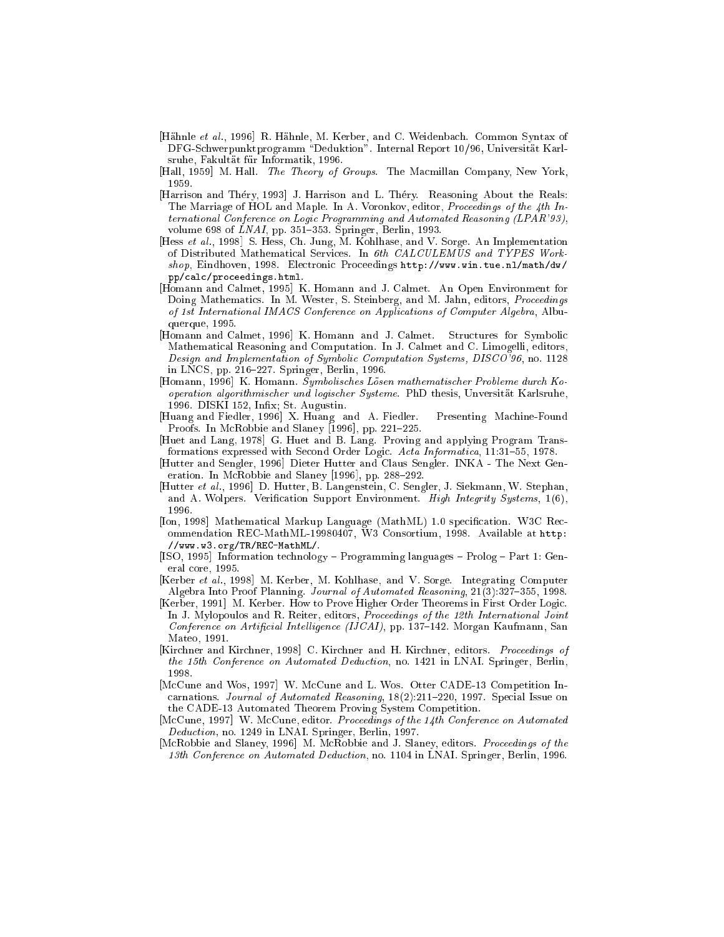- [Hähnle et al., 1996] R. Hähnle, M. Kerber, and C. Weidenbach. Common Syntax of DFG-Schwerpunktprogramm "Deduktion". Internal Report 10/96, Universität Karlsruhe. Fakultät für Informatik, 1996.
- [Hall, 1959] M. Hall. The Theory of Groups. The Macmillan Company, New York, 1959.
- [Harrison and Théry, 1993] J. Harrison and L. Théry. Reasoning About the Reals: The Marriage of HOL and Maple. In A. Voronkov, editor, Proceedings of the 4th In*ternational Conference on Logic Programming and Automated Reasoning (LPAR'93)*, volume 698 of  $LNAI$ , pp. 351–353. Springer, Berlin, 1993.
- [Hess et al., 1998] S. Hess, Ch. Jung, M. Kohlhase, and V. Sorge. An Implementation of Distributed Mathematical Services. In 6th CALCULEMUS and TYPES Workshop, Eindhoven, 1998. Electronic Proceedings http://www.win.tue.nl/math/dw/ pp/calc/proceedings.html.
- [Homann and Calmet, 1995] K. Homann and J. Calmet. An Open Environment for Doing Mathematics. In M. Wester, S. Steinberg, and M. Jahn, editors, Proceedings of 1st International IMACS Conference on Applications of Computer Algebra, Albuquerque, 1995.
- [Homann and Calmet, 1996] K. Homann and J. Calmet. Structures for Symbolic Mathematical Reasoning and Computation. In J. Calmet and C. Limogelli, editors, Design and Implementation of Symbolic Computation Systems, DISCO'96, no. 1128 in LNCS, pp. 216-227. Springer, Berlin, 1996.
- [Homann, 1996] K. Homann. Symbolisches Lösen mathematischer Probleme durch Kooperation algorithmischer und logischer Systeme. PhD thesis, Unversität Karlsruhe, 1996. DISKI 152, Infix: St. Augustin.
- [Huang and Fiedler, 1996] X. Huang and A. Fiedler. Presenting Machine-Found Proofs. In McRobbie and Slaney [1996], pp. 221-225.
- Huet and Lang, 1978 G. Huet and B. Lang. Proving and applying Program Transformations expressed with Second Order Logic. Acta Informatica, 11:31-55, 1978.
- [Hutter and Sengler, 1996] Dieter Hutter and Claus Sengler. INKA The Next Generation. In McRobbie and Slaney [1996], pp. 288-292.
- [Hutter et al., 1996] D. Hutter, B. Langenstein, C. Sengler, J. Siekmann, W. Stephan, and A. Wolpers. Verification Support Environment. High Integrity Systems, 1(6), 1996.
- [Ion, 1998] Mathematical Markup Language (MathML) 1.0 specification. W3C Recommendation REC-MathML-19980407, W3 Consortium, 1998. Available at http: //www.w3.org/TR/REC-MathML/.
- [ISO, 1995] Information technology Programming languages Prolog Part 1: General core, 1995.
- [Kerber et al., 1998] M. Kerber, M. Kohlhase, and V. Sorge. Integrating Computer Algebra Into Proof Planning. Journal of Automated Reasoning, 21(3):327-355, 1998.
- [Kerber, 1991] M. Kerber. How to Prove Higher Order Theorems in First Order Logic. In J. Mylopoulos and R. Reiter, editors, Proceedings of the 12th International Joint *Conference on Artificial Intelligence (IJCAI)*, pp. 137–142. Morgan Kaufmann, San Mateo, 1991.
- [Kirchner and Kirchner, 1998] C. Kirchner and H. Kirchner, editors. Proceedings of the 15th Conference on Automated Deduction, no. 1421 in LNAI. Springer, Berlin, 1998.
- [McCune and Wos, 1997] W. McCune and L. Wos. Otter CADE-13 Competition Incarnations. Journal of Automated Reasoning,  $18(2):211-220$ , 1997. Special Issue on the CADE 13 Automated Theorem Proving System Competition.
- [McCune, 1997] W. McCune, editor. Proceedings of the 14th Conference on Automated Deduction, no. 1249 in LNAI. Springer, Berlin, 1997.
- [McRobbie and Slaney, 1996] M. McRobbie and J. Slaney, editors. Proceedings of the 13th Conference on Automated Deduction, no. 1104 in LNAI. Springer, Berlin, 1996.